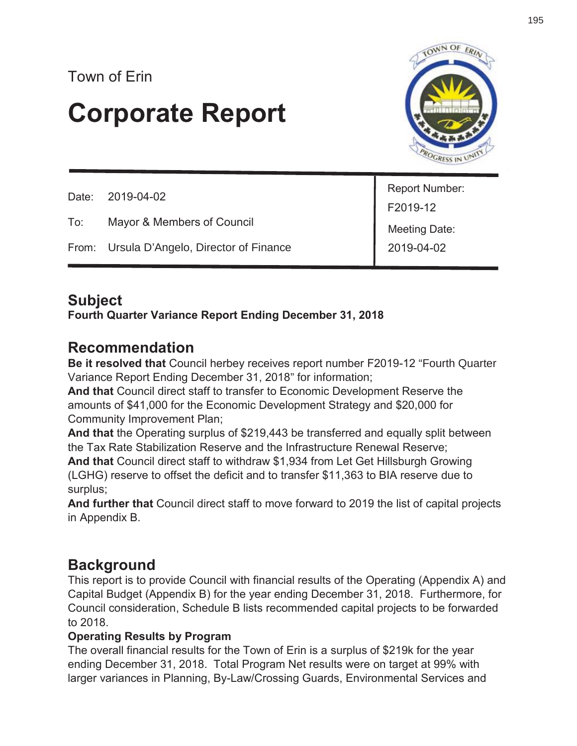# **Corporate Report**



|     | Date: 2019-04-02                           | Report Number: |
|-----|--------------------------------------------|----------------|
|     |                                            | F2019-12       |
| To: | Mayor & Members of Council                 | Meeting Date:  |
|     | From: Ursula D'Angelo, Director of Finance | 2019-04-02     |

# **Subject**

#### **Fourth Quarter Variance Report Ending December 31, 2018**

# **Recommendation**

**Be it resolved that** Council herbey receives report number F2019-12 "Fourth Quarter Variance Report Ending December 31, 2018" for information;

**And that** Council direct staff to transfer to Economic Development Reserve the amounts of \$41,000 for the Economic Development Strategy and \$20,000 for Community Improvement Plan;

**And that** the Operating surplus of \$219,443 be transferred and equally split between the Tax Rate Stabilization Reserve and the Infrastructure Renewal Reserve; **And that** Council direct staff to withdraw \$1,934 from Let Get Hillsburgh Growing (LGHG) reserve to offset the deficit and to transfer \$11,363 to BIA reserve due to surplus;

**And further that** Council direct staff to move forward to 2019 the list of capital projects in Appendix B.

# **Background**

This report is to provide Council with financial results of the Operating (Appendix A) and Capital Budget (Appendix B) for the year ending December 31, 2018. Furthermore, for Council consideration, Schedule B lists recommended capital projects to be forwarded to 2018.

#### **Operating Results by Program**

The overall financial results for the Town of Erin is a surplus of \$219k for the year ending December 31, 2018. Total Program Net results were on target at 99% with larger variances in Planning, By-Law/Crossing Guards, Environmental Services and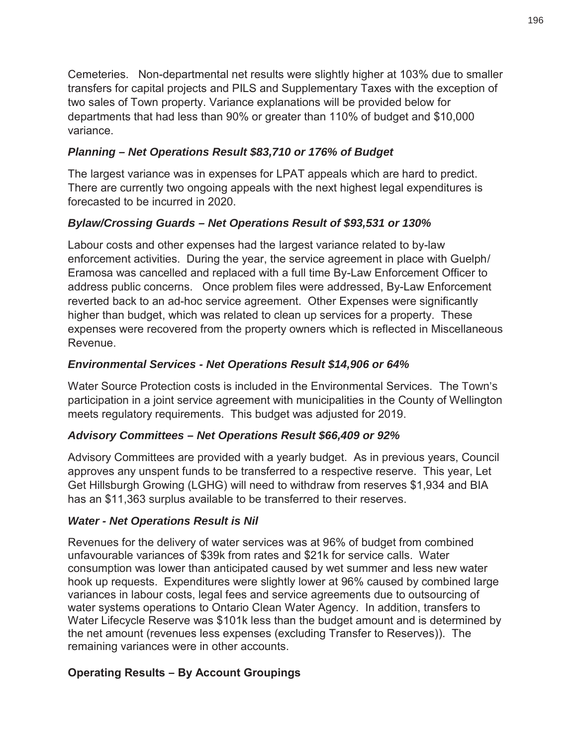Cemeteries. Non-departmental net results were slightly higher at 103% due to smaller transfers for capital projects and PILS and Supplementary Taxes with the exception of two sales of Town property. Variance explanations will be provided below for departments that had less than 90% or greater than 110% of budget and \$10,000 variance.

#### *Planning – Net Operations Result \$83,710 or 176% of Budget*

The largest variance was in expenses for LPAT appeals which are hard to predict. There are currently two ongoing appeals with the next highest legal expenditures is forecasted to be incurred in 2020.

#### *Bylaw/Crossing Guards – Net Operations Result of \$93,531 or 130%*

Labour costs and other expenses had the largest variance related to by-law enforcement activities. During the year, the service agreement in place with Guelph/ Eramosa was cancelled and replaced with a full time By-Law Enforcement Officer to address public concerns. Once problem files were addressed, By-Law Enforcement reverted back to an ad-hoc service agreement. Other Expenses were significantly higher than budget, which was related to clean up services for a property. These expenses were recovered from the property owners which is reflected in Miscellaneous Revenue.

#### *Environmental Services - Net Operations Result \$14,906 or 64%*

Water Source Protection costs is included in the Environmental Services. The Town's participation in a joint service agreement with municipalities in the County of Wellington meets regulatory requirements. This budget was adjusted for 2019.

#### *Advisory Committees – Net Operations Result \$66,409 or 92%*

Advisory Committees are provided with a yearly budget. As in previous years, Council approves any unspent funds to be transferred to a respective reserve. This year, Let Get Hillsburgh Growing (LGHG) will need to withdraw from reserves \$1,934 and BIA has an \$11,363 surplus available to be transferred to their reserves.

#### *Water - Net Operations Result is Nil*

Revenues for the delivery of water services was at 96% of budget from combined unfavourable variances of \$39k from rates and \$21k for service calls. Water consumption was lower than anticipated caused by wet summer and less new water hook up requests. Expenditures were slightly lower at 96% caused by combined large variances in labour costs, legal fees and service agreements due to outsourcing of water systems operations to Ontario Clean Water Agency. In addition, transfers to Water Lifecycle Reserve was \$101k less than the budget amount and is determined by the net amount (revenues less expenses (excluding Transfer to Reserves)). The remaining variances were in other accounts.

#### **Operating Results – By Account Groupings**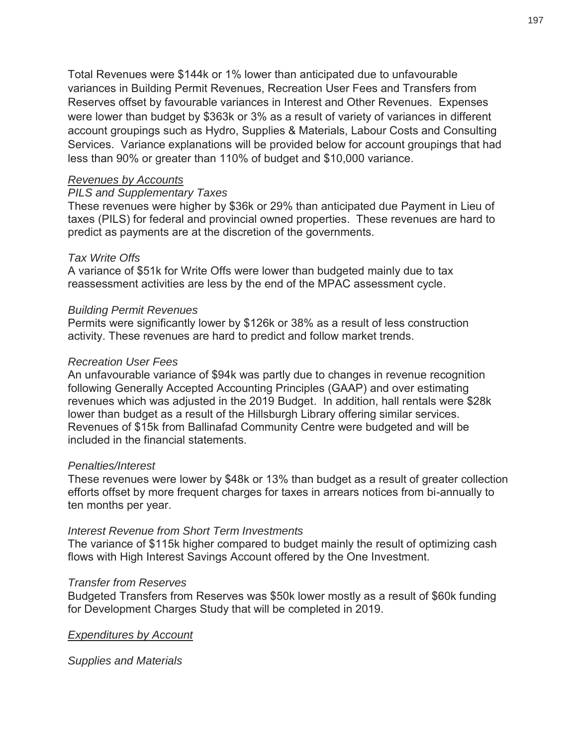Total Revenues were \$144k or 1% lower than anticipated due to unfavourable variances in Building Permit Revenues, Recreation User Fees and Transfers from Reserves offset by favourable variances in Interest and Other Revenues. Expenses were lower than budget by \$363k or 3% as a result of variety of variances in different account groupings such as Hydro, Supplies & Materials, Labour Costs and Consulting Services. Variance explanations will be provided below for account groupings that had less than 90% or greater than 110% of budget and \$10,000 variance.

#### *Revenues by Accounts*

#### *PILS and Supplementary Taxes*

These revenues were higher by \$36k or 29% than anticipated due Payment in Lieu of taxes (PILS) for federal and provincial owned properties. These revenues are hard to predict as payments are at the discretion of the governments.

#### *Tax Write Offs*

A variance of \$51k for Write Offs were lower than budgeted mainly due to tax reassessment activities are less by the end of the MPAC assessment cycle.

#### *Building Permit Revenues*

Permits were significantly lower by \$126k or 38% as a result of less construction activity. These revenues are hard to predict and follow market trends.

#### *Recreation User Fees*

An unfavourable variance of \$94k was partly due to changes in revenue recognition following Generally Accepted Accounting Principles (GAAP) and over estimating revenues which was adjusted in the 2019 Budget. In addition, hall rentals were \$28k lower than budget as a result of the Hillsburgh Library offering similar services. Revenues of \$15k from Ballinafad Community Centre were budgeted and will be included in the financial statements.

#### *Penalties/Interest*

These revenues were lower by \$48k or 13% than budget as a result of greater collection efforts offset by more frequent charges for taxes in arrears notices from bi-annually to ten months per year.

#### *Interest Revenue from Short Term Investments*

The variance of \$115k higher compared to budget mainly the result of optimizing cash flows with High Interest Savings Account offered by the One Investment.

#### *Transfer from Reserves*

Budgeted Transfers from Reserves was \$50k lower mostly as a result of \$60k funding for Development Charges Study that will be completed in 2019.

*Expenditures by Account* 

*Supplies and Materials*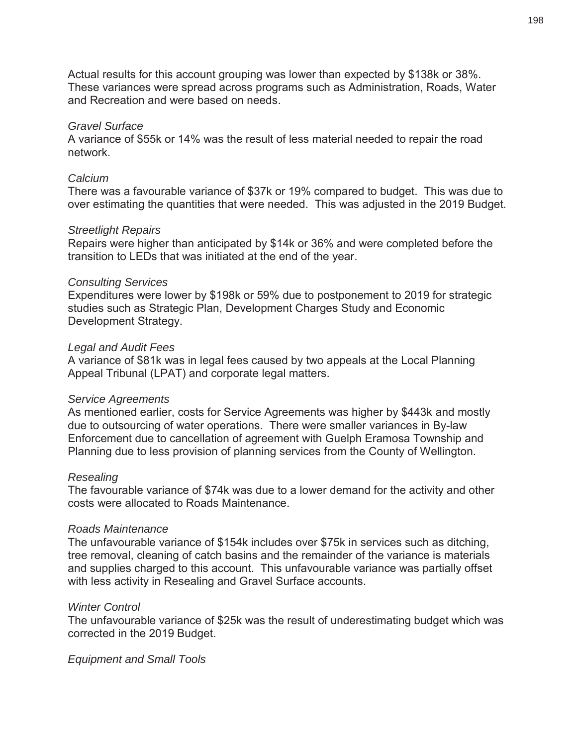Actual results for this account grouping was lower than expected by \$138k or 38%. These variances were spread across programs such as Administration, Roads, Water and Recreation and were based on needs.

#### *Gravel Surface*

A variance of \$55k or 14% was the result of less material needed to repair the road network.

#### *Calcium*

There was a favourable variance of \$37k or 19% compared to budget. This was due to over estimating the quantities that were needed. This was adjusted in the 2019 Budget.

#### *Streetlight Repairs*

Repairs were higher than anticipated by \$14k or 36% and were completed before the transition to LEDs that was initiated at the end of the year.

#### *Consulting Services*

Expenditures were lower by \$198k or 59% due to postponement to 2019 for strategic studies such as Strategic Plan, Development Charges Study and Economic Development Strategy.

#### *Legal and Audit Fees*

A variance of \$81k was in legal fees caused by two appeals at the Local Planning Appeal Tribunal (LPAT) and corporate legal matters.

#### *Service Agreements*

As mentioned earlier, costs for Service Agreements was higher by \$443k and mostly due to outsourcing of water operations. There were smaller variances in By-law Enforcement due to cancellation of agreement with Guelph Eramosa Township and Planning due to less provision of planning services from the County of Wellington.

#### *Resealing*

The favourable variance of \$74k was due to a lower demand for the activity and other costs were allocated to Roads Maintenance.

#### *Roads Maintenance*

The unfavourable variance of \$154k includes over \$75k in services such as ditching, tree removal, cleaning of catch basins and the remainder of the variance is materials and supplies charged to this account. This unfavourable variance was partially offset with less activity in Resealing and Gravel Surface accounts.

#### *Winter Control*

The unfavourable variance of \$25k was the result of underestimating budget which was corrected in the 2019 Budget.

*Equipment and Small Tools*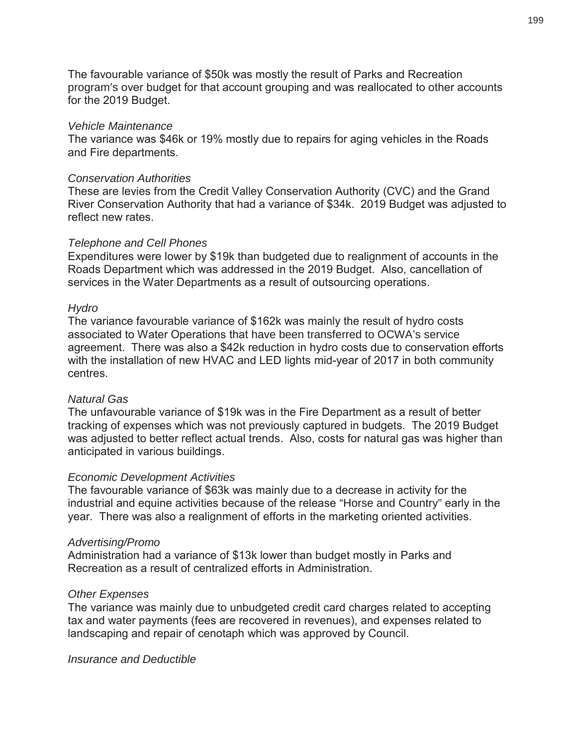The favourable variance of \$50k was mostly the result of Parks and Recreation program's over budget for that account grouping and was reallocated to other accounts for the 2019 Budget.

#### *Vehicle Maintenance*

The variance was \$46k or 19% mostly due to repairs for aging vehicles in the Roads and Fire departments.

#### *Conservation Authorities*

These are levies from the Credit Valley Conservation Authority (CVC) and the Grand River Conservation Authority that had a variance of \$34k. 2019 Budget was adjusted to reflect new rates.

#### *Telephone and Cell Phones*

Expenditures were lower by \$19k than budgeted due to realignment of accounts in the Roads Department which was addressed in the 2019 Budget. Also, cancellation of services in the Water Departments as a result of outsourcing operations.

#### *Hydro*

The variance favourable variance of \$162k was mainly the result of hydro costs associated to Water Operations that have been transferred to OCWA's service agreement. There was also a \$42k reduction in hydro costs due to conservation efforts with the installation of new HVAC and LED lights mid-year of 2017 in both community centres.

#### *Natural Gas*

The unfavourable variance of \$19k was in the Fire Department as a result of better tracking of expenses which was not previously captured in budgets. The 2019 Budget was adjusted to better reflect actual trends. Also, costs for natural gas was higher than anticipated in various buildings.

#### *Economic Development Activities*

The favourable variance of \$63k was mainly due to a decrease in activity for the industrial and equine activities because of the release "Horse and Country" early in the year. There was also a realignment of efforts in the marketing oriented activities.

#### *Advertising/Promo*

Administration had a variance of \$13k lower than budget mostly in Parks and Recreation as a result of centralized efforts in Administration.

#### *Other Expenses*

The variance was mainly due to unbudgeted credit card charges related to accepting tax and water payments (fees are recovered in revenues), and expenses related to landscaping and repair of cenotaph which was approved by Council.

*Insurance and Deductible*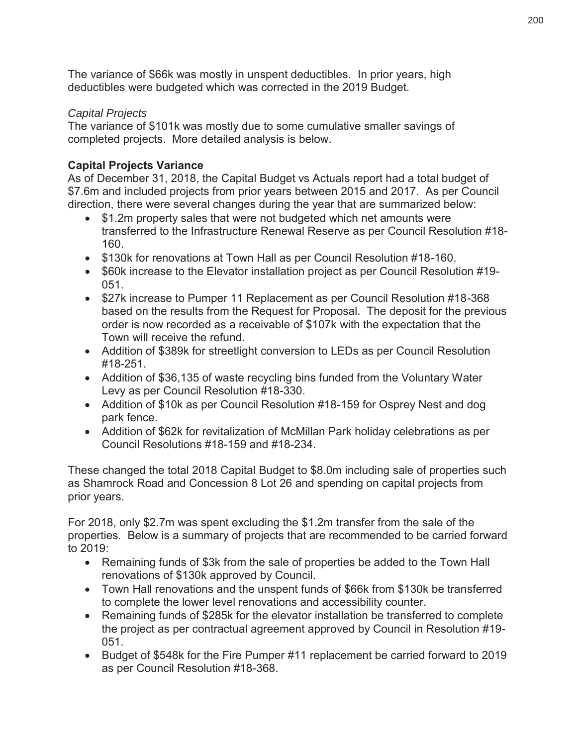The variance of \$66k was mostly in unspent deductibles. In prior years, high deductibles were budgeted which was corrected in the 2019 Budget.

#### *Capital Projects*

The variance of \$101k was mostly due to some cumulative smaller savings of completed projects. More detailed analysis is below.

#### **Capital Projects Variance**

As of December 31, 2018, the Capital Budget vs Actuals report had a total budget of \$7.6m and included projects from prior years between 2015 and 2017. As per Council direction, there were several changes during the year that are summarized below:

- \$1.2m property sales that were not budgeted which net amounts were transferred to the Infrastructure Renewal Reserve as per Council Resolution #18- 160.
- \$130k for renovations at Town Hall as per Council Resolution #18-160.
- \$60k increase to the Elevator installation project as per Council Resolution #19-051.
- \$27k increase to Pumper 11 Replacement as per Council Resolution #18-368 based on the results from the Request for Proposal. The deposit for the previous order is now recorded as a receivable of \$107k with the expectation that the Town will receive the refund.
- Addition of \$389k for streetlight conversion to LEDs as per Council Resolution #18-251.
- Addition of \$36,135 of waste recycling bins funded from the Voluntary Water Levy as per Council Resolution #18-330.
- Addition of \$10k as per Council Resolution #18-159 for Osprey Nest and dog park fence.
- Addition of \$62k for revitalization of McMillan Park holiday celebrations as per Council Resolutions #18-159 and #18-234.

These changed the total 2018 Capital Budget to \$8.0m including sale of properties such as Shamrock Road and Concession 8 Lot 26 and spending on capital projects from prior years.

For 2018, only \$2.7m was spent excluding the \$1.2m transfer from the sale of the properties. Below is a summary of projects that are recommended to be carried forward to 2019:

- Remaining funds of \$3k from the sale of properties be added to the Town Hall renovations of \$130k approved by Council.
- Town Hall renovations and the unspent funds of \$66k from \$130k be transferred to complete the lower level renovations and accessibility counter.
- Remaining funds of \$285k for the elevator installation be transferred to complete the project as per contractual agreement approved by Council in Resolution #19- 051.
- Budget of \$548k for the Fire Pumper #11 replacement be carried forward to 2019 as per Council Resolution #18-368.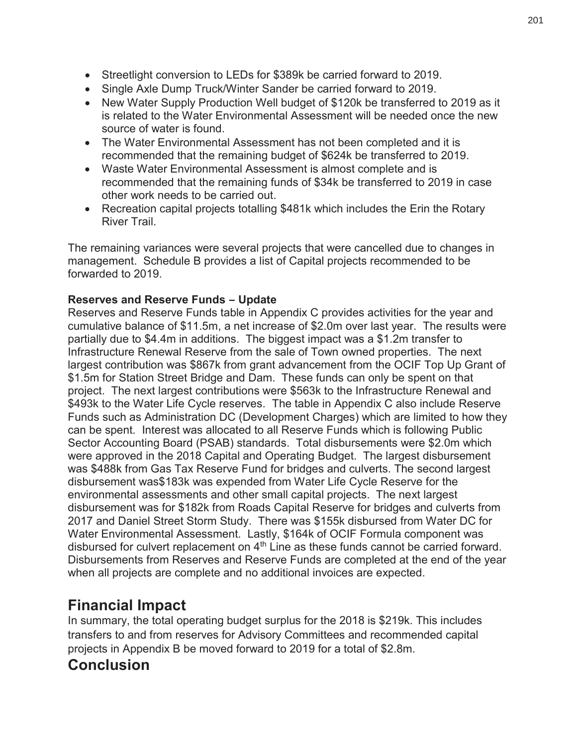- Streetlight conversion to LEDs for \$389k be carried forward to 2019.
- Single Axle Dump Truck/Winter Sander be carried forward to 2019.
- New Water Supply Production Well budget of \$120k be transferred to 2019 as it is related to the Water Environmental Assessment will be needed once the new source of water is found.
- The Water Environmental Assessment has not been completed and it is recommended that the remaining budget of \$624k be transferred to 2019.
- Waste Water Environmental Assessment is almost complete and is recommended that the remaining funds of \$34k be transferred to 2019 in case other work needs to be carried out.
- Recreation capital projects totalling \$481k which includes the Erin the Rotary River Trail.

The remaining variances were several projects that were cancelled due to changes in management. Schedule B provides a list of Capital projects recommended to be forwarded to 2019.

#### **Reserves and Reserve Funds – Update**

Reserves and Reserve Funds table in Appendix C provides activities for the year and cumulative balance of \$11.5m, a net increase of \$2.0m over last year. The results were partially due to \$4.4m in additions. The biggest impact was a \$1.2m transfer to Infrastructure Renewal Reserve from the sale of Town owned properties. The next largest contribution was \$867k from grant advancement from the OCIF Top Up Grant of \$1.5m for Station Street Bridge and Dam. These funds can only be spent on that project. The next largest contributions were \$563k to the Infrastructure Renewal and \$493k to the Water Life Cycle reserves. The table in Appendix C also include Reserve Funds such as Administration DC (Development Charges) which are limited to how they can be spent. Interest was allocated to all Reserve Funds which is following Public Sector Accounting Board (PSAB) standards. Total disbursements were \$2.0m which were approved in the 2018 Capital and Operating Budget. The largest disbursement was \$488k from Gas Tax Reserve Fund for bridges and culverts. The second largest disbursement was\$183k was expended from Water Life Cycle Reserve for the environmental assessments and other small capital projects. The next largest disbursement was for \$182k from Roads Capital Reserve for bridges and culverts from 2017 and Daniel Street Storm Study. There was \$155k disbursed from Water DC for Water Environmental Assessment. Lastly, \$164k of OCIF Formula component was disbursed for culvert replacement on 4<sup>th</sup> Line as these funds cannot be carried forward. Disbursements from Reserves and Reserve Funds are completed at the end of the year when all projects are complete and no additional invoices are expected.

# **Financial Impact**

In summary, the total operating budget surplus for the 2018 is \$219k. This includes transfers to and from reserves for Advisory Committees and recommended capital projects in Appendix B be moved forward to 2019 for a total of \$2.8m.

# **Conclusion**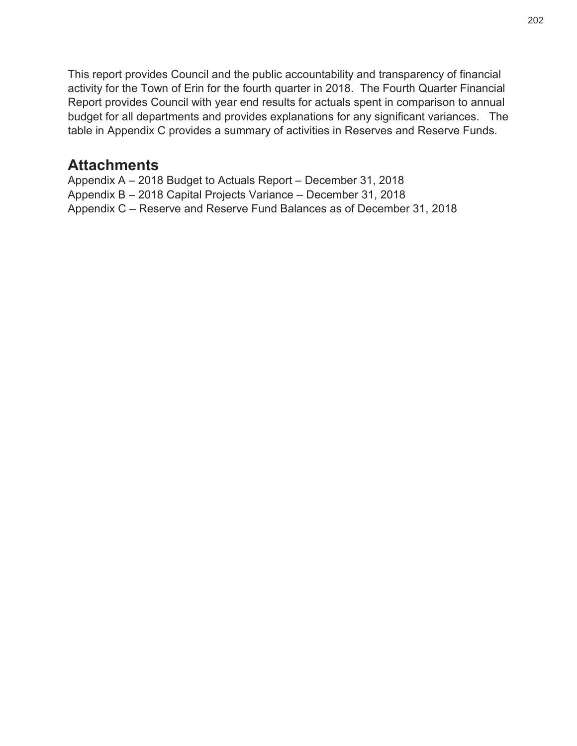This report provides Council and the public accountability and transparency of financial activity for the Town of Erin for the fourth quarter in 2018. The Fourth Quarter Financial Report provides Council with year end results for actuals spent in comparison to annual budget for all departments and provides explanations for any significant variances. The table in Appendix C provides a summary of activities in Reserves and Reserve Funds.

### **Attachments**

Appendix A – 2018 Budget to Actuals Report – December 31, 2018 Appendix B – 2018 Capital Projects Variance – December 31, 2018 Appendix C – Reserve and Reserve Fund Balances as of December 31, 2018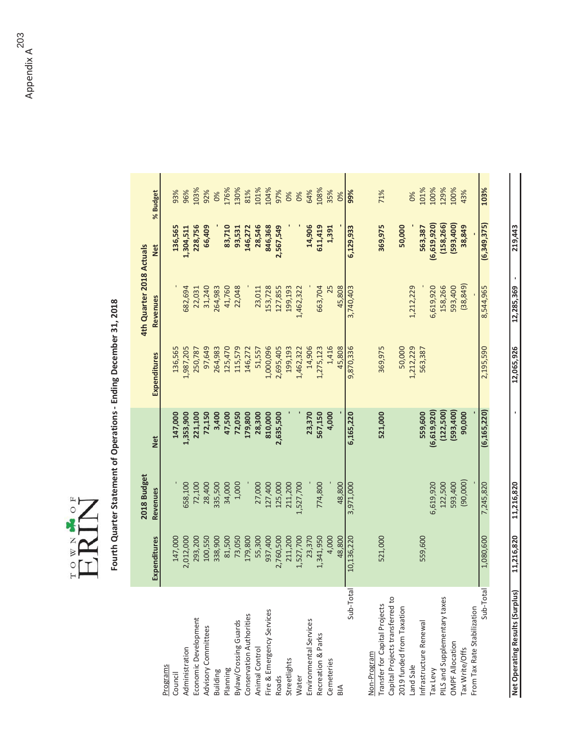

# Fourth Quarter Statement of Operations - Ending December 31, 2018 **Fourth Quarter Statement of Operations - Ending December 31, 2018**

|                                 |              | 2018 Budget |               |                     | 4th Quarter 2018 Actuals |               |          |
|---------------------------------|--------------|-------------|---------------|---------------------|--------------------------|---------------|----------|
|                                 | Expenditures | Revenues    | Net           | <b>Expenditures</b> | Revenues                 | Net           | % Budget |
| Programs                        |              |             |               |                     |                          |               |          |
| Council                         | 147,000      |             | 147,000       | 136,565             |                          | 136,565       | 93%      |
| Administration                  | 2,012,000    | 558,100     | 1,353,900     | 1,987,205           | 582,694                  | 1,304,511     | 96%      |
| Economic Development            | 293,200      | 72,100      | 221,100       | 250,787             | 22,031                   | 228,756       | 103%     |
| Advisory Committees             | 100,550      | 28,400      | 72,150        | 97,649              | 31,240                   | 66,409        | 92%      |
|                                 | 338,900      | 335,500     | 3,400         | 264,983             | 264,983                  |               | 0%       |
| Building<br>Planning            | 81,500       | 34,000      | 47,500        | 125,470             | 41,760                   | 83,710        | 176%     |
| Bylaw/Crossing Guards           | 73,050       | 1,000       | 72,050        | 115,579             | 22,048                   | 93,531        | 130%     |
| Conservation Authorities        | 179,800      |             | 179,800       | 146,272             |                          | 146,272       | 81%      |
| Animal Control                  | 55,300       | 27,000      | 28,300        | 51,557              | 23,011                   | 28,546        | 101%     |
| Fire & Emergency Services       | 937,400      | 127,400     | 810,000       | 1,000,096           | 153,728                  | 846,368       | 104%     |
| Roads                           | 2,760,500    | 125,000     | 2,635,500     | 2,695,405           | 127,855                  | 2,567,549     | 97%      |
| Streetlights                    | 211,200      | 211,200     |               | 199,193             | 199,193                  |               | 0%       |
| Water                           | 1,527,700    | 1,527,700   |               | 1,462,322           | 1,462,322                |               | 0%       |
| Environmental Services          | 23,370       |             | 23,370        | 14,906              |                          | 14,906        | 64%      |
| Recreation & Parks              | 1,341,950    | 774,800     | 567,150       | 1,275,123           | 663,704                  | 611,419       | 108%     |
| Cemeteries                      | 4,000        |             | 4,000         | 1,416               |                          | 1,391         | 35%      |
| BIA                             | 48,800       | 48,800      |               | 45,808              | 45,808                   |               | 0%       |
| Sub-Total                       | 10,136,220   | 3,971,000   | 6,165,220     | 9,870,336           | 3,740,403                | 6,129,933     | 99%      |
| Non-Program                     |              |             |               |                     |                          |               |          |
| Transfer for Capital Projects   | 521,000      |             | 521,000       | 369,975             |                          | 369,975       | 71%      |
| Capital Projects transferred to |              |             |               |                     |                          |               |          |
| 2019 funded from Taxation       |              |             |               | 50,000              |                          | 50,000        |          |
| Land Sale                       |              |             |               | 1,212,229           | 1,212,229                |               | 0%       |
| Infrastructure Renewal          | 559,600      |             | 559,600       | 563,387             |                          | 563,387       | 101%     |
| Tax Levy                        |              | 5,619,920   | (6, 619, 920) |                     | 6,619,920                | (6, 619, 920) | 100%     |
| PILS and Supplementary taxes    |              | 122,500     | (122, 500)    |                     | 158,266                  | (158, 266)    | 129%     |
| <b>OMPF Allocation</b>          |              | 593,400     | (593, 400)    |                     | 593,400                  | (593, 400)    | 100%     |
| Tax Write/Offs                  |              | (90,000)    | 90,000        |                     | (38, 849)                | 38,849        | 43%      |
| From Tax Rate Stabilization     |              |             |               |                     |                          |               |          |
| Sub-Total                       | 1,080,600    | 7,245,820   | (6, 165, 220) | 2,195,590           | 8,544,965                | (6,349,375)   | 103%     |
|                                 |              |             |               |                     |                          |               |          |

**EG** Kosults (Surplus) 11,216,820 11,216,820 - 12,065,926 12,085,926 - 12,085,369 - 12,0943

11,216,820

11,216,820

Net Operating Results (Surplus)

219,443

12,285,369 -

12,065,926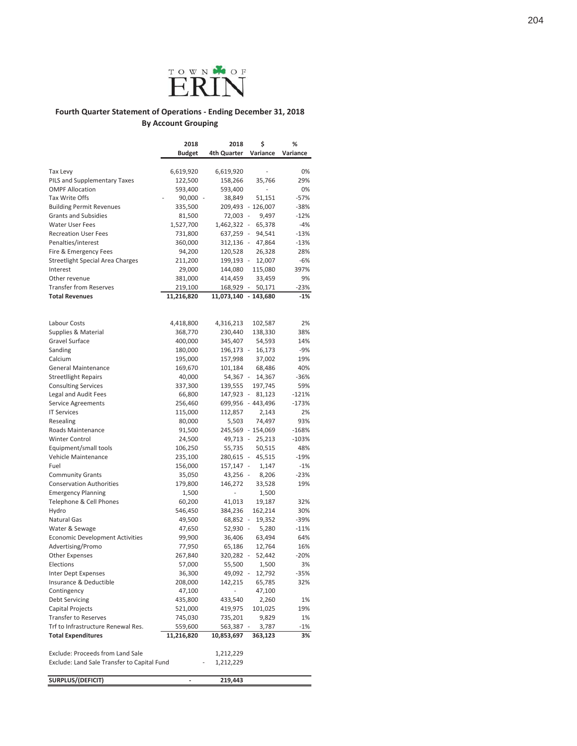

#### Fourth Quarter Statement of Operations - Ending December 31, 2018 **By Account Grouping**

|                                             | 2018          | 2018                 | \$                | ℅        |
|---------------------------------------------|---------------|----------------------|-------------------|----------|
|                                             | <b>Budget</b> | 4th Quarter          | Variance          | Variance |
|                                             |               |                      |                   |          |
| Tax Levy                                    | 6,619,920     | 6,619,920            |                   | 0%       |
| PILS and Supplementary Taxes                | 122,500       | 158,266              | 35,766            | 29%      |
| <b>OMPF Allocation</b>                      | 593,400       | 593,400              | $\overline{a}$    | 0%       |
| <b>Tax Write Offs</b>                       | 90,000 -      | 38,849               | 51,151            | $-57%$   |
| <b>Building Permit Revenues</b>             | 335,500       |                      | 209,493 - 126,007 | $-38%$   |
| <b>Grants and Subsidies</b>                 | 81,500        | 72,003 -             | 9,497             | $-12%$   |
| <b>Water User Fees</b>                      | 1,527,700     | 1,462,322 -          | 65,378            | $-4%$    |
| <b>Recreation User Fees</b>                 | 731,800       | 637,259 -            | 94,541            | $-13%$   |
| Penalties/interest                          | 360,000       |                      | 312,136 - 47,864  | $-13%$   |
| Fire & Emergency Fees                       | 94,200        | 120,528              | 26,328            | 28%      |
| <b>Streetlight Special Area Charges</b>     | 211,200       | 199,193 -            | 12,007            | $-6%$    |
| Interest                                    | 29,000        | 144,080              | 115,080           | 397%     |
| Other revenue                               | 381,000       | 414,459              | 33,459            | 9%       |
| <b>Transfer from Reserves</b>               | 219,100       | 168,929 -            | 50,171            | $-23%$   |
| <b>Total Revenues</b>                       | 11,216,820    | 11,073,140 - 143,680 |                   | $-1%$    |
|                                             |               |                      |                   |          |
| Labour Costs                                | 4,418,800     | 4,316,213            | 102,587           | 2%       |
| Supplies & Material                         | 368,770       | 230,440              | 138,330           | 38%      |
| Gravel Surface                              | 400,000       | 345,407              | 54,593            | 14%      |
| Sanding                                     | 180,000       | 196,173 -            | 16,173            | $-9%$    |
| Calcium                                     | 195,000       | 157,998              | 37,002            | 19%      |
| <b>General Maintenance</b>                  | 169,670       | 101,184              | 68,486            | 40%      |
| <b>Streetllight Repairs</b>                 | 40,000        | 54,367 -             | 14,367            | -36%     |
| <b>Consulting Services</b>                  | 337,300       | 139,555              | 197,745           | 59%      |
| Legal and Audit Fees                        | 66,800        | 147,923 -            | 81,123            | $-121%$  |
| Service Agreements                          | 256,460       |                      | 699,956 - 443,496 | $-173%$  |
| <b>IT Services</b>                          | 115,000       | 112,857              | 2,143             | 2%       |
| Resealing                                   | 80,000        | 5,503                | 74,497            | 93%      |
| Roads Maintenance                           | 91,500        |                      | 245,569 - 154,069 | $-168%$  |
| Winter Control                              | 24,500        | 49,713 -             | 25,213            | $-103%$  |
| Equipment/small tools                       | 106,250       | 55,735               | 50,515            | 48%      |
| Vehicle Maintenance                         | 235,100       | 280,615 -            | 45,515            | -19%     |
| Fuel                                        | 156,000       | 157,147 -            | 1,147             | $-1%$    |
| <b>Community Grants</b>                     | 35,050        | 43,256 -             | 8,206             | $-23%$   |
| <b>Conservation Authorities</b>             | 179,800       | 146,272              | 33,528            | 19%      |
| <b>Emergency Planning</b>                   | 1,500         | i,                   | 1,500             |          |
| Telephone & Cell Phones                     | 60,200        | 41,013               | 19,187            | 32%      |
| Hydro                                       | 546,450       | 384,236              | 162,214           | 30%      |
| <b>Natural Gas</b>                          | 49,500        | 68,852 -             | 19,352            | -39%     |
| Water & Sewage                              | 47,650        | $52,930 -$           | 5,280             | $-11%$   |
| <b>Economic Development Activities</b>      | 99,900        | 36,406               | 63,494            | 64%      |
| Advertising/Promo                           | 77,950        | 65,186               | 12,764            | 16%      |
| <b>Other Expenses</b>                       | 267,840       | 320,282 -            | 52,442            | $-20%$   |
| Elections                                   | 57,000        | 55,500               | 1,500             | 3%       |
| Inter Dept Expenses                         | 36,300        | 49,092 -             | 12,792            | $-35%$   |
| Insurance & Deductible                      | 208,000       | 142,215              | 65,785            | 32%      |
| Contingency                                 | 47,100        | ÷,                   | 47,100            |          |
| Debt Servicing                              | 435,800       | 433,540              | 2,260             | 1%       |
| Capital Projects                            | 521,000       | 419,975              | 101,025           | 19%      |
| <b>Transfer to Reserves</b>                 | 745,030       | 735,201              | 9,829             | 1%       |
| Trf to Infrastructure Renewal Res.          | 559,600       | 563,387              | 3,787             | -1%      |
| <b>Total Expenditures</b>                   | 11,216,820    | 10,853,697           | 363,123           | 3%       |
|                                             |               |                      |                   |          |
| Exclude: Proceeds from Land Sale            |               | 1,212,229            |                   |          |
| Exclude: Land Sale Transfer to Capital Fund |               | 1,212,229            |                   |          |
| SURPLUS/(DEFICIT)                           | $\frac{1}{2}$ | 219,443              |                   |          |
|                                             |               |                      |                   |          |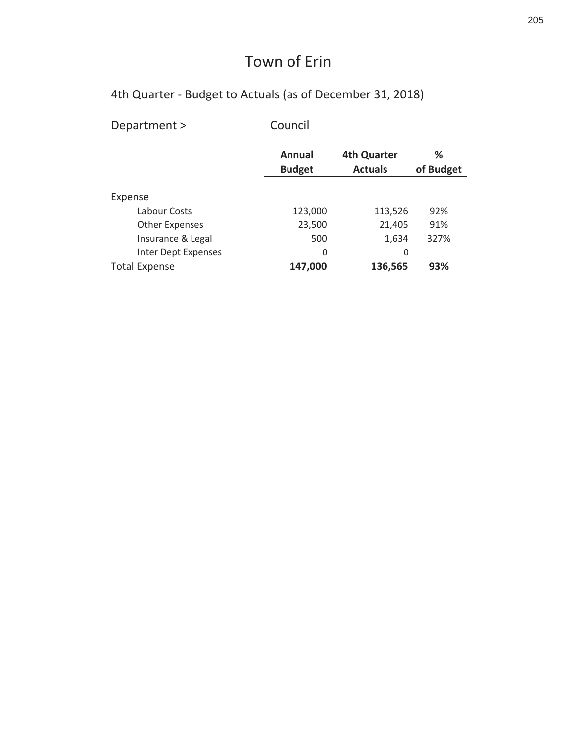4th Quarter - Budget to Actuals (as of December 31, 2018)

Council Department >

|                       | Annual<br><b>Budget</b> | <b>4th Quarter</b><br><b>Actuals</b> | ℅<br>of Budget |
|-----------------------|-------------------------|--------------------------------------|----------------|
| Expense               |                         |                                      |                |
| Labour Costs          | 123,000                 | 113,526                              | 92%            |
| <b>Other Expenses</b> | 23,500                  | 21,405                               | 91%            |
| Insurance & Legal     | 500                     | 1,634                                | 327%           |
| Inter Dept Expenses   | 0                       | 0                                    |                |
| <b>Total Expense</b>  | 147,000                 | 136,565                              | 93%            |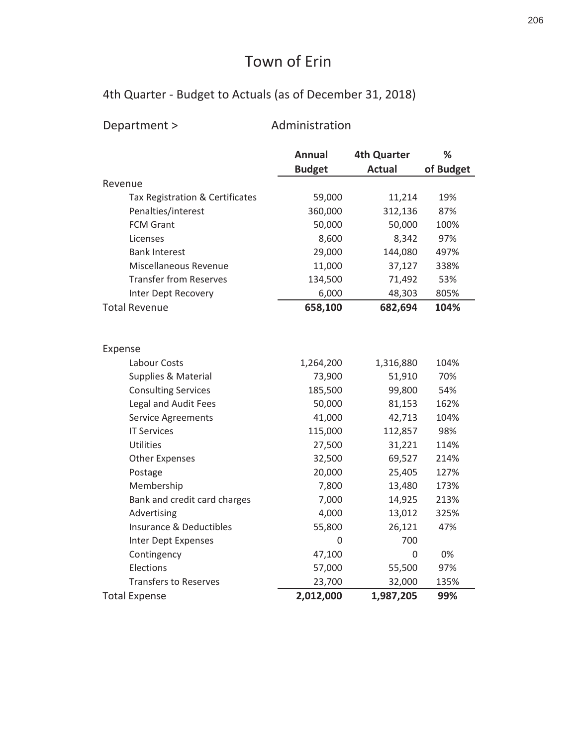# 4th Quarter - Budget to Actuals (as of December 31, 2018)

|  | Department > |  |  |  |  |
|--|--------------|--|--|--|--|
|--|--------------|--|--|--|--|

epartment > administration

|                                    | <b>Annual</b> | <b>4th Quarter</b> | %         |
|------------------------------------|---------------|--------------------|-----------|
|                                    | <b>Budget</b> | <b>Actual</b>      | of Budget |
| Revenue                            |               |                    |           |
| Tax Registration & Certificates    | 59,000        | 11,214             | 19%       |
| Penalties/interest                 | 360,000       | 312,136            | 87%       |
| <b>FCM Grant</b>                   | 50,000        | 50,000             | 100%      |
| Licenses                           | 8,600         | 8,342              | 97%       |
| <b>Bank Interest</b>               | 29,000        | 144,080            | 497%      |
| Miscellaneous Revenue              | 11,000        | 37,127             | 338%      |
| <b>Transfer from Reserves</b>      | 134,500       | 71,492             | 53%       |
| Inter Dept Recovery                | 6,000         | 48,303             | 805%      |
| <b>Total Revenue</b>               | 658,100       | 682,694            | 104%      |
|                                    |               |                    |           |
|                                    |               |                    |           |
| Expense                            |               |                    |           |
| Labour Costs                       | 1,264,200     | 1,316,880          | 104%      |
| Supplies & Material                | 73,900        | 51,910             | 70%       |
| <b>Consulting Services</b>         | 185,500       | 99,800             | 54%       |
| Legal and Audit Fees               | 50,000        | 81,153             | 162%      |
| <b>Service Agreements</b>          | 41,000        | 42,713             | 104%      |
| <b>IT Services</b>                 | 115,000       | 112,857            | 98%       |
| Utilities                          | 27,500        | 31,221             | 114%      |
| <b>Other Expenses</b>              | 32,500        | 69,527             | 214%      |
| Postage                            | 20,000        | 25,405             | 127%      |
| Membership                         | 7,800         | 13,480             | 173%      |
| Bank and credit card charges       | 7,000         | 14,925             | 213%      |
| Advertising                        | 4,000         | 13,012             | 325%      |
| <b>Insurance &amp; Deductibles</b> | 55,800        | 26,121             | 47%       |
| Inter Dept Expenses                | 0             | 700                |           |
| Contingency                        | 47,100        | $\mathbf 0$        | 0%        |
| Elections                          | 57,000        | 55,500             | 97%       |
| <b>Transfers to Reserves</b>       | 23,700        | 32,000             | 135%      |
| <b>Total Expense</b>               | 2,012,000     | 1,987,205          | 99%       |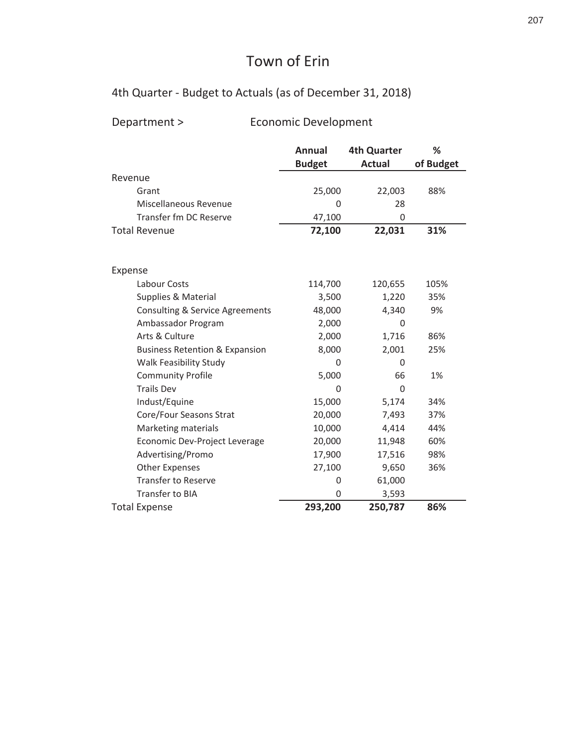# 4th Quarter - Budget to Actuals (as of December 31, 2018)

# Department > The Booman Bevelopment

|                                            | <b>Annual</b> | <b>4th Quarter</b> | ℅         |
|--------------------------------------------|---------------|--------------------|-----------|
|                                            | <b>Budget</b> | <b>Actual</b>      | of Budget |
| Revenue                                    |               |                    |           |
| Grant                                      | 25,000        | 22,003             | 88%       |
| Miscellaneous Revenue                      | 0             | 28                 |           |
| Transfer fm DC Reserve                     | 47,100        | 0                  |           |
| <b>Total Revenue</b>                       | 72,100        | 22,031             | 31%       |
|                                            |               |                    |           |
| Expense                                    |               |                    |           |
| Labour Costs                               | 114,700       | 120,655            | 105%      |
| <b>Supplies &amp; Material</b>             | 3,500         | 1,220              | 35%       |
| <b>Consulting &amp; Service Agreements</b> | 48,000        | 4,340              | 9%        |
| Ambassador Program                         | 2,000         | 0                  |           |
| Arts & Culture                             | 2,000         | 1,716              | 86%       |
| <b>Business Retention &amp; Expansion</b>  | 8,000         | 2,001              | 25%       |
| Walk Feasibility Study                     | 0             | 0                  |           |
| <b>Community Profile</b>                   | 5,000         | 66                 | 1%        |
| <b>Trails Dev</b>                          | U             | $\Omega$           |           |
| Indust/Equine                              | 15,000        | 5,174              | 34%       |
| Core/Four Seasons Strat                    | 20,000        | 7,493              | 37%       |
| Marketing materials                        | 10,000        | 4,414              | 44%       |
| Economic Dev-Project Leverage              | 20,000        | 11,948             | 60%       |
| Advertising/Promo                          | 17,900        | 17,516             | 98%       |
| <b>Other Expenses</b>                      | 27,100        | 9,650              | 36%       |
| <b>Transfer to Reserve</b>                 | 0             | 61,000             |           |
| Transfer to BIA                            | 0             | 3,593              |           |
| <b>Total Expense</b>                       | 293,200       | 250,787            | 86%       |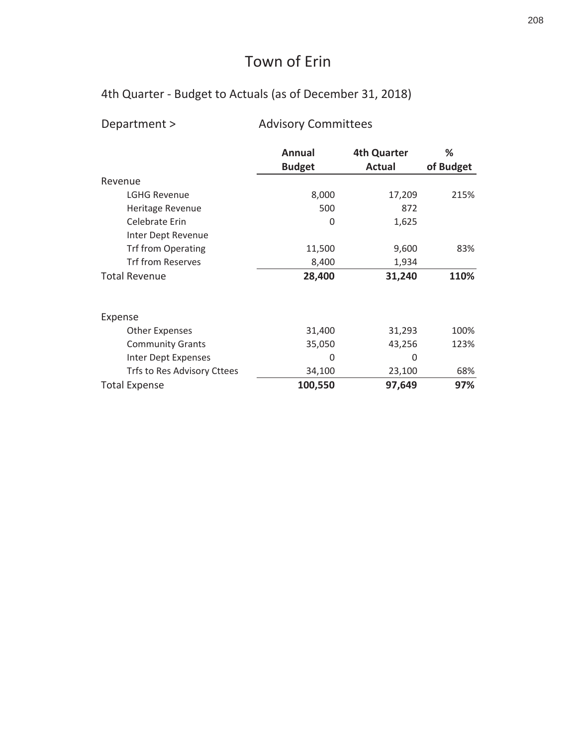# 4th Quarter - Budget to Actuals (as of December 31, 2018)

|  |  | Department > |  |
|--|--|--------------|--|
|--|--|--------------|--|

# epartment > advisory Committees

|                             | Annual<br><b>Budget</b> | <b>4th Quarter</b><br>Actual | ℅<br>of Budget |
|-----------------------------|-------------------------|------------------------------|----------------|
| Revenue                     |                         |                              |                |
| <b>LGHG Revenue</b>         | 8,000                   | 17,209                       | 215%           |
| Heritage Revenue            | 500                     | 872                          |                |
| Celebrate Erin              | 0                       | 1,625                        |                |
| Inter Dept Revenue          |                         |                              |                |
| <b>Trf from Operating</b>   | 11,500                  | 9,600                        | 83%            |
| Trf from Reserves           | 8,400                   | 1,934                        |                |
| <b>Total Revenue</b>        | 28,400                  | 31,240                       | 110%           |
| Expense                     |                         |                              |                |
| <b>Other Expenses</b>       | 31,400                  | 31,293                       | 100%           |
| <b>Community Grants</b>     | 35,050                  | 43,256                       | 123%           |
| Inter Dept Expenses         | 0                       | $\Omega$                     |                |
| Trfs to Res Advisory Cttees | 34,100                  | 23,100                       | 68%            |
| <b>Total Expense</b>        | 100,550                 | 97,649                       | 97%            |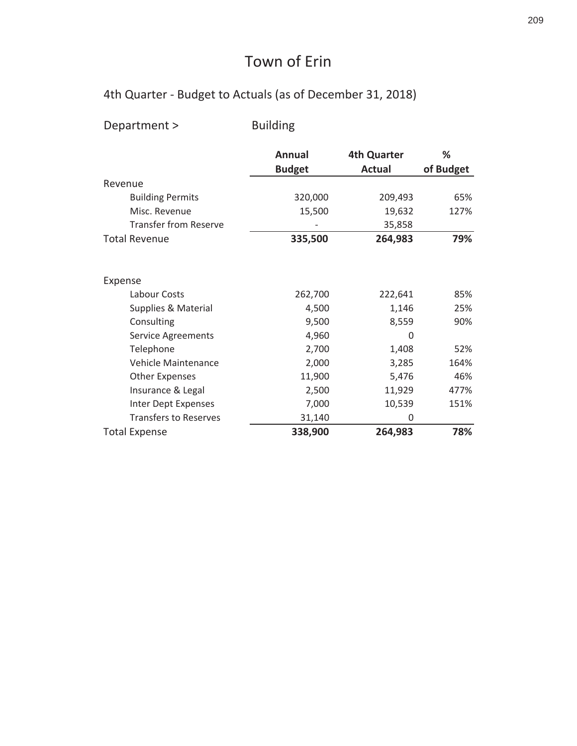# 4th Quarter - Budget to Actuals (as of December 31, 2018)

Department > **Building** 

|                              | <b>Annual</b><br><b>Budget</b> | <b>4th Quarter</b><br><b>Actual</b> | ℅<br>of Budget |
|------------------------------|--------------------------------|-------------------------------------|----------------|
| Revenue                      |                                |                                     |                |
| <b>Building Permits</b>      | 320,000                        | 209,493                             | 65%            |
| Misc. Revenue                | 15,500                         | 19,632                              | 127%           |
| <b>Transfer from Reserve</b> |                                | 35,858                              |                |
| <b>Total Revenue</b>         | 335,500                        | 264,983                             | 79%            |
| Expense                      |                                |                                     |                |
| Labour Costs                 | 262,700                        | 222,641                             | 85%            |
| Supplies & Material          | 4,500                          | 1,146                               | 25%            |
| Consulting                   | 9,500                          | 8,559                               | 90%            |
| Service Agreements           | 4,960                          | 0                                   |                |
| Telephone                    | 2,700                          | 1,408                               | 52%            |
| <b>Vehicle Maintenance</b>   | 2,000                          | 3,285                               | 164%           |
| <b>Other Expenses</b>        | 11,900                         | 5,476                               | 46%            |
| Insurance & Legal            | 2,500                          | 11,929                              | 477%           |
| Inter Dept Expenses          | 7,000                          | 10,539                              | 151%           |
| <b>Transfers to Reserves</b> | 31,140                         | 0                                   |                |
| <b>Total Expense</b>         | 338,900                        | 264,983                             | 78%            |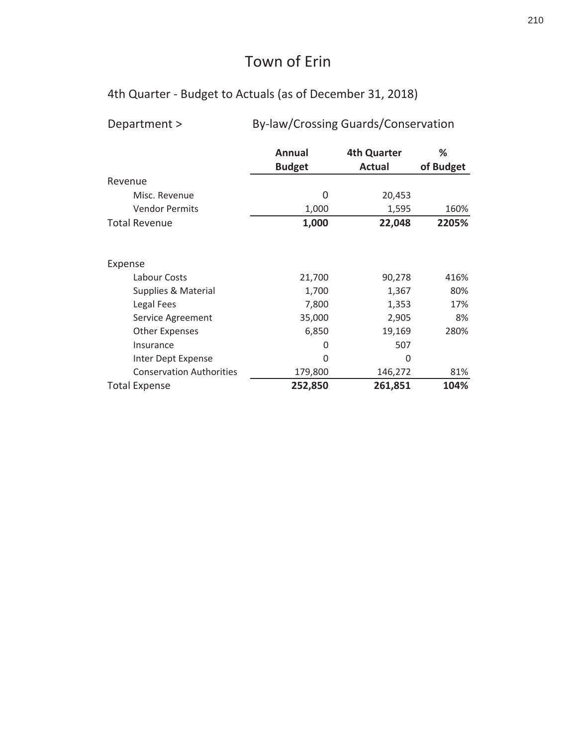4th Quarter - Budget to Actuals (as of December 31, 2018)

| Department >                    | By-law/Crossing Guards/Conservation |                    |           |  |  |
|---------------------------------|-------------------------------------|--------------------|-----------|--|--|
|                                 | Annual                              | <b>4th Quarter</b> | %         |  |  |
|                                 | <b>Budget</b>                       | <b>Actual</b>      | of Budget |  |  |
| Revenue                         |                                     |                    |           |  |  |
| Misc. Revenue                   | 0                                   | 20,453             |           |  |  |
| <b>Vendor Permits</b>           | 1,000                               | 1,595              | 160%      |  |  |
| <b>Total Revenue</b>            | 1,000                               | 22,048             | 2205%     |  |  |
|                                 |                                     |                    |           |  |  |
| Expense                         |                                     |                    |           |  |  |
| Labour Costs                    | 21,700                              | 90,278             | 416%      |  |  |
| Supplies & Material             | 1,700                               | 1,367              | 80%       |  |  |
| Legal Fees                      | 7,800                               | 1,353              | 17%       |  |  |
| Service Agreement               | 35,000                              | 2,905              | 8%        |  |  |
| <b>Other Expenses</b>           | 6,850                               | 19,169             | 280%      |  |  |
| Insurance                       | 0                                   | 507                |           |  |  |
| Inter Dept Expense              | 0                                   | 0                  |           |  |  |
| <b>Conservation Authorities</b> | 179,800                             | 146,272            | 81%       |  |  |
| <b>Total Expense</b>            | 252,850                             | 261,851            | 104%      |  |  |

By-law/Crossing Guards/Conservation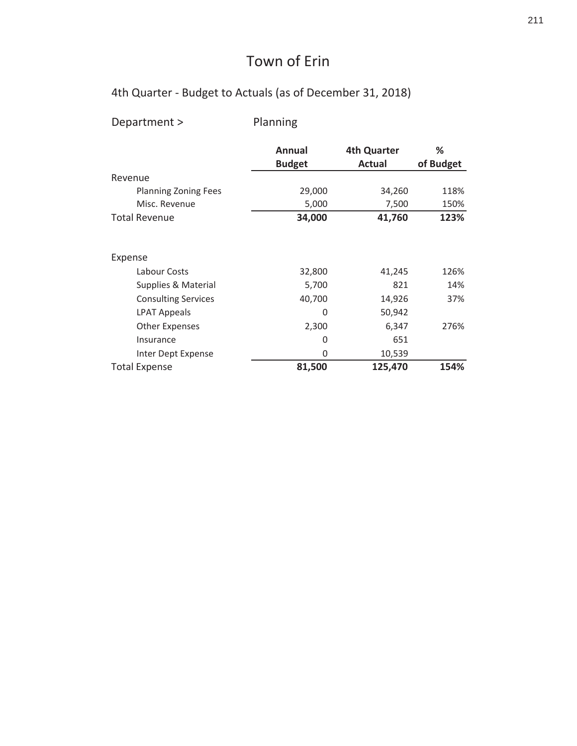| Department >                | Planning                |                              |                |
|-----------------------------|-------------------------|------------------------------|----------------|
|                             | Annual<br><b>Budget</b> | <b>4th Quarter</b><br>Actual | ℅<br>of Budget |
| Revenue                     |                         |                              |                |
| <b>Planning Zoning Fees</b> | 29,000                  | 34,260                       | 118%           |
| Misc. Revenue               | 5,000                   | 7,500                        | 150%           |
| <b>Total Revenue</b>        | 34,000                  | 41,760                       | 123%           |
| Expense                     |                         |                              |                |
| Labour Costs                | 32,800                  | 41,245                       | 126%           |
| Supplies & Material         | 5,700                   | 821                          | 14%            |
| <b>Consulting Services</b>  | 40,700                  | 14,926                       | 37%            |
| <b>LPAT Appeals</b>         | 0                       | 50,942                       |                |
| <b>Other Expenses</b>       | 2,300                   | 6,347                        | 276%           |
| Insurance                   | 0                       | 651                          |                |
| Inter Dept Expense          | 0                       | 10,539                       |                |
| <b>Total Expense</b>        | 81,500                  | 125,470                      | 154%           |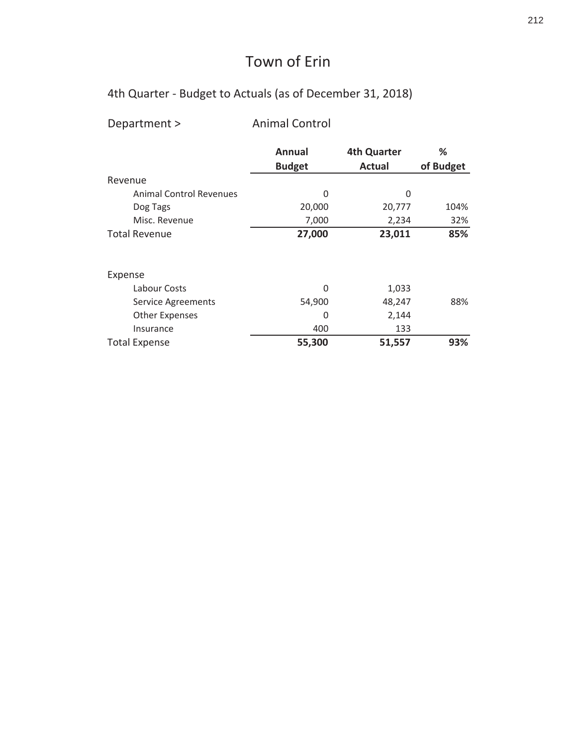#### 4th Quarter - Budget to Actuals (as of December 31, 2018)

Department > Animal Control Annual 4th Quarter % Budget **Actual** of Budget Revenue ŶŝŵĂůŽŶƚƌŽůZĞǀĞŶƵĞƐ Ϭ Ϭ Dog Tags 20,000 20,777 104% Dsisc. Revenue 1,000 2,234 32% Total Revenue **127,000 123,011 85%** Expense Labour Costs 6 (1,033) Service Agreements 6 (54,900 between the S4,900 between  $48,247$  88% Other Expenses 0 2,144 133 Insurance 133 Total Expense **b 1,557 c g 63%**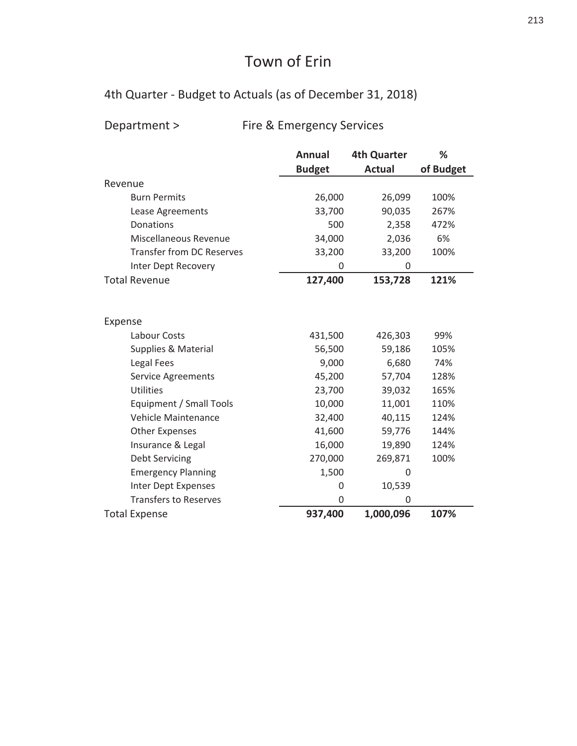# 4th Quarter - Budget to Actuals (as of December 31, 2018)

# Department > Fire & Emergency Services

|                                  | <b>Annual</b> | <b>4th Quarter</b> | %         |
|----------------------------------|---------------|--------------------|-----------|
|                                  | <b>Budget</b> | <b>Actual</b>      | of Budget |
| Revenue                          |               |                    |           |
| <b>Burn Permits</b>              | 26,000        | 26,099             | 100%      |
| Lease Agreements                 | 33,700        | 90,035             | 267%      |
| Donations                        | 500           | 2,358              | 472%      |
| Miscellaneous Revenue            | 34,000        | 2,036              | 6%        |
| <b>Transfer from DC Reserves</b> | 33,200        | 33,200             | 100%      |
| Inter Dept Recovery              | 0             | 0                  |           |
| <b>Total Revenue</b>             | 127,400       | 153,728            | 121%      |
|                                  |               |                    |           |
|                                  |               |                    |           |
| Expense                          |               |                    |           |
| Labour Costs                     | 431,500       | 426,303            | 99%       |
| <b>Supplies &amp; Material</b>   | 56,500        | 59,186             | 105%      |
| Legal Fees                       | 9,000         | 6,680              | 74%       |
| Service Agreements               | 45,200        | 57,704             | 128%      |
| <b>Utilities</b>                 | 23,700        | 39,032             | 165%      |
| Equipment / Small Tools          | 10,000        | 11,001             | 110%      |
| Vehicle Maintenance              | 32,400        | 40,115             | 124%      |
| <b>Other Expenses</b>            | 41,600        | 59,776             | 144%      |
| Insurance & Legal                | 16,000        | 19,890             | 124%      |
| <b>Debt Servicing</b>            | 270,000       | 269,871            | 100%      |
| <b>Emergency Planning</b>        | 1,500         | 0                  |           |
| <b>Inter Dept Expenses</b>       | 0             | 10,539             |           |
| <b>Transfers to Reserves</b>     | $\Omega$      | 0                  |           |
| <b>Total Expense</b>             | 937,400       | 1,000,096          | 107%      |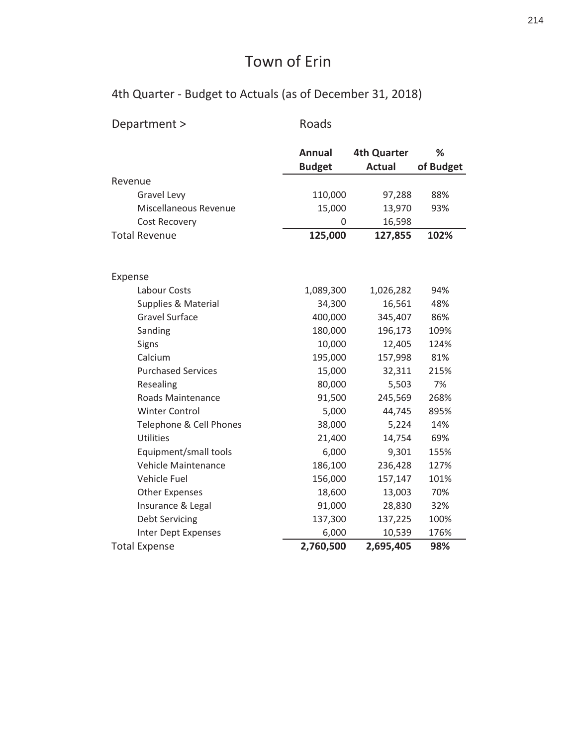| Department >              | Roads         |                    |           |
|---------------------------|---------------|--------------------|-----------|
|                           |               |                    |           |
|                           | <b>Annual</b> | <b>4th Quarter</b> | %         |
|                           | <b>Budget</b> | <b>Actual</b>      | of Budget |
| Revenue                   |               |                    |           |
| Gravel Levy               | 110,000       | 97,288             | 88%       |
| Miscellaneous Revenue     | 15,000        | 13,970             | 93%       |
| Cost Recovery             | 0             | 16,598             |           |
| <b>Total Revenue</b>      | 125,000       | 127,855            | 102%      |
|                           |               |                    |           |
| Expense                   |               |                    |           |
| Labour Costs              | 1,089,300     | 1,026,282          | 94%       |
| Supplies & Material       | 34,300        | 16,561             | 48%       |
| <b>Gravel Surface</b>     | 400,000       | 345,407            | 86%       |
| Sanding                   | 180,000       | 196,173            | 109%      |
| Signs                     | 10,000        | 12,405             | 124%      |
| Calcium                   | 195,000       | 157,998            | 81%       |
| <b>Purchased Services</b> | 15,000        | 32,311             | 215%      |
| Resealing                 | 80,000        | 5,503              | 7%        |
| Roads Maintenance         | 91,500        | 245,569            | 268%      |
| <b>Winter Control</b>     | 5,000         | 44,745             | 895%      |
| Telephone & Cell Phones   | 38,000        | 5,224              | 14%       |
| <b>Utilities</b>          | 21,400        | 14,754             | 69%       |
| Equipment/small tools     | 6,000         | 9,301              | 155%      |
| Vehicle Maintenance       | 186,100       | 236,428            | 127%      |
| Vehicle Fuel              | 156,000       | 157,147            | 101%      |
| <b>Other Expenses</b>     | 18,600        | 13,003             | 70%       |
| Insurance & Legal         | 91,000        | 28,830             | 32%       |
| <b>Debt Servicing</b>     | 137,300       | 137,225            | 100%      |
| Inter Dept Expenses       | 6,000         | 10,539             | 176%      |
| <b>Total Expense</b>      | 2,760,500     | 2,695,405          | 98%       |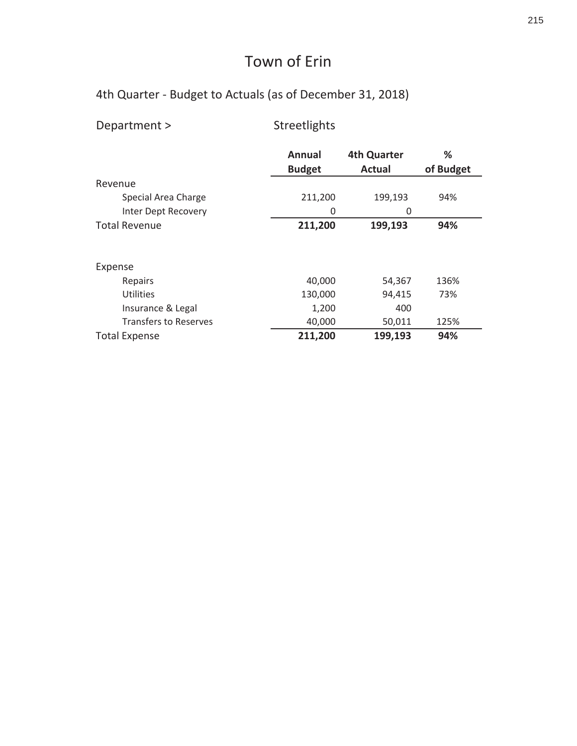| Department >                 | Streetlights  |                    |           |
|------------------------------|---------------|--------------------|-----------|
|                              | Annual        | <b>4th Quarter</b> | ℅         |
|                              | <b>Budget</b> | <b>Actual</b>      | of Budget |
| Revenue                      |               |                    |           |
| Special Area Charge          | 211,200       | 199,193            | 94%       |
| Inter Dept Recovery          | 0             | 0                  |           |
| <b>Total Revenue</b>         | 211,200       | 199,193            | 94%       |
| Expense                      |               |                    |           |
| Repairs                      | 40,000        | 54,367             | 136%      |
| <b>Utilities</b>             | 130,000       | 94,415             | 73%       |
| Insurance & Legal            | 1,200         | 400                |           |
| <b>Transfers to Reserves</b> | 40,000        | 50,011             | 125%      |
| <b>Total Expense</b>         | 211,200       | 199,193            | 94%       |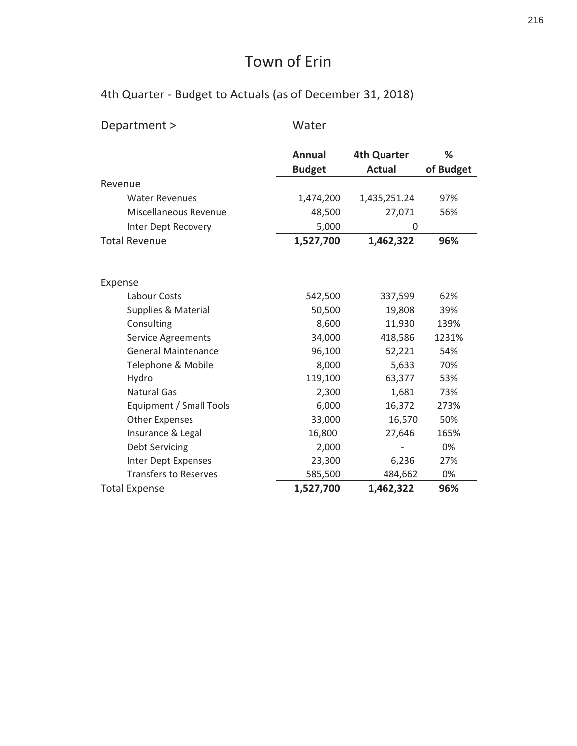| Department >                 | Water                          |                                     |                |
|------------------------------|--------------------------------|-------------------------------------|----------------|
|                              | <b>Annual</b><br><b>Budget</b> | <b>4th Quarter</b><br><b>Actual</b> | %<br>of Budget |
| Revenue                      |                                |                                     |                |
| <b>Water Revenues</b>        | 1,474,200                      | 1,435,251.24                        | 97%            |
| Miscellaneous Revenue        | 48,500                         | 27,071                              | 56%            |
| Inter Dept Recovery          | 5,000                          | 0                                   |                |
| <b>Total Revenue</b>         | 1,527,700                      | 1,462,322                           | 96%            |
|                              |                                |                                     |                |
| Expense                      |                                |                                     |                |
| Labour Costs                 | 542,500                        | 337,599                             | 62%            |
| Supplies & Material          | 50,500                         | 19,808                              | 39%            |
| Consulting                   | 8,600                          | 11,930                              | 139%           |
| <b>Service Agreements</b>    | 34,000                         | 418,586                             | 1231%          |
| <b>General Maintenance</b>   | 96,100                         | 52,221                              | 54%            |
| Telephone & Mobile           | 8,000                          | 5,633                               | 70%            |
| Hydro                        | 119,100                        | 63,377                              | 53%            |
| <b>Natural Gas</b>           | 2,300                          | 1,681                               | 73%            |
| Equipment / Small Tools      | 6,000                          | 16,372                              | 273%           |
| <b>Other Expenses</b>        | 33,000                         | 16,570                              | 50%            |
| Insurance & Legal            | 16,800                         | 27,646                              | 165%           |
| <b>Debt Servicing</b>        | 2,000                          |                                     | 0%             |
| Inter Dept Expenses          | 23,300                         | 6,236                               | 27%            |
| <b>Transfers to Reserves</b> | 585,500                        | 484,662                             | 0%             |
| <b>Total Expense</b>         | 1,527,700                      | 1,462,322                           | 96%            |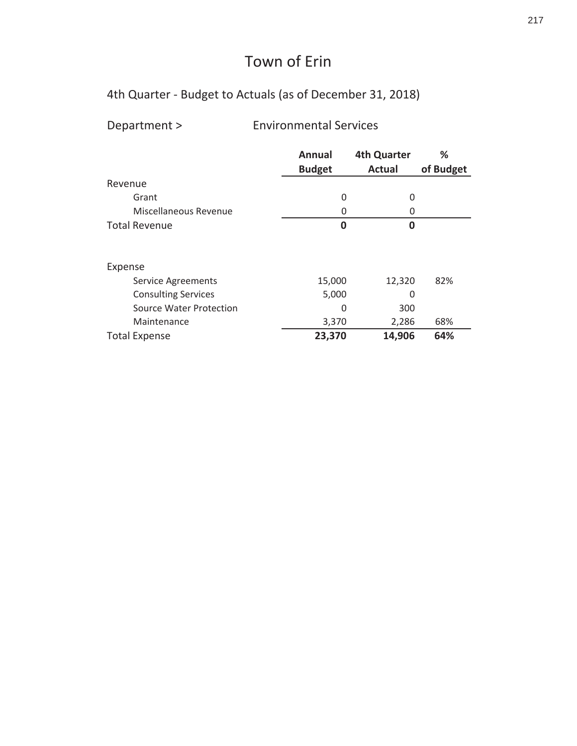4th Quarter - Budget to Actuals (as of December 31, 2018)

Department > The Show Environmental Services

|                            | <b>Annual</b> | <b>4th Quarter</b> | ℅         |
|----------------------------|---------------|--------------------|-----------|
|                            | <b>Budget</b> | <b>Actual</b>      | of Budget |
| Revenue                    |               |                    |           |
| Grant                      | 0             | 0                  |           |
| Miscellaneous Revenue      | 0             | 0                  |           |
| <b>Total Revenue</b>       | $\bf{0}$      | 0                  |           |
|                            |               |                    |           |
| Expense                    |               |                    |           |
| <b>Service Agreements</b>  | 15,000        | 12,320             | 82%       |
| <b>Consulting Services</b> | 5,000         | 0                  |           |
| Source Water Protection    | 0             | 300                |           |
| Maintenance                | 3,370         | 2,286              | 68%       |
| <b>Total Expense</b>       | 23,370        | 14,906             | 64%       |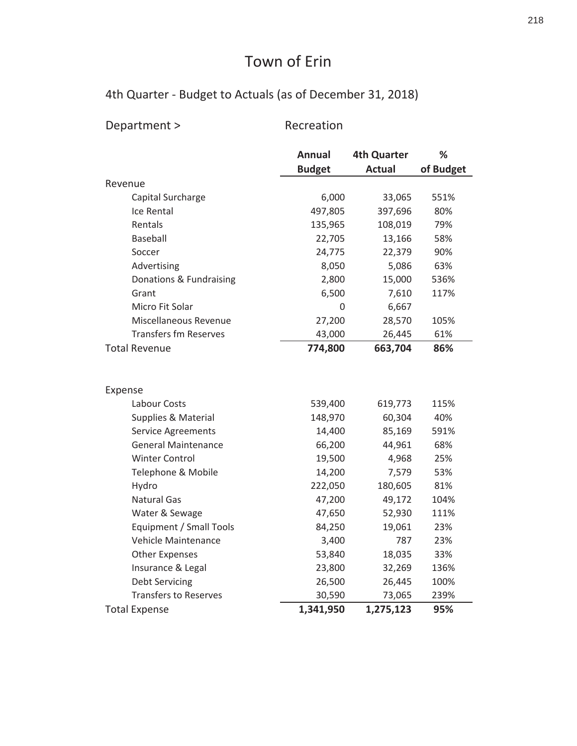| Department >                                     | Recreation       |                    |             |
|--------------------------------------------------|------------------|--------------------|-------------|
|                                                  | <b>Annual</b>    | <b>4th Quarter</b> | %           |
|                                                  | <b>Budget</b>    | <b>Actual</b>      | of Budget   |
| Revenue                                          |                  |                    |             |
| Capital Surcharge                                | 6,000            | 33,065             | 551%        |
| Ice Rental                                       | 497,805          | 397,696            | 80%         |
| Rentals                                          | 135,965          | 108,019            | 79%         |
| <b>Baseball</b>                                  | 22,705           | 13,166             | 58%         |
| Soccer                                           | 24,775           | 22,379             | 90%         |
| Advertising                                      | 8,050            | 5,086              | 63%         |
| Donations & Fundraising                          | 2,800            | 15,000             | 536%        |
| Grant                                            | 6,500            | 7,610              | 117%        |
| Micro Fit Solar                                  | 0                | 6,667              |             |
| Miscellaneous Revenue                            | 27,200           | 28,570             | 105%        |
| <b>Transfers fm Reserves</b>                     | 43,000           | 26,445             | 61%         |
| <b>Total Revenue</b>                             | 774,800          | 663,704            | 86%         |
|                                                  |                  |                    |             |
| Expense<br>Labour Costs                          | 539,400          |                    |             |
|                                                  | 148,970          | 619,773<br>60,304  | 115%<br>40% |
| Supplies & Material                              |                  | 85,169             | 591%        |
| Service Agreements<br><b>General Maintenance</b> | 14,400           | 44,961             | 68%         |
| <b>Winter Control</b>                            | 66,200           | 4,968              | 25%         |
| Telephone & Mobile                               | 19,500<br>14,200 | 7,579              | 53%         |
| Hydro                                            | 222,050          | 180,605            | 81%         |
| <b>Natural Gas</b>                               | 47,200           | 49,172             | 104%        |
| Water & Sewage                                   | 47,650           | 52,930             | 111%        |
| Equipment / Small Tools                          | 84,250           | 19,061             | 23%         |
| Vehicle Maintenance                              | 3,400            | 787                | 23%         |
| <b>Other Expenses</b>                            | 53,840           | 18,035             | 33%         |
| Insurance & Legal                                | 23,800           | 32,269             | 136%        |
| <b>Debt Servicing</b>                            | 26,500           | 26,445             | 100%        |
| <b>Transfers to Reserves</b>                     | 30,590           | 73,065             | 239%        |
| <b>Total Expense</b>                             | 1,341,950        | 1,275,123          | 95%         |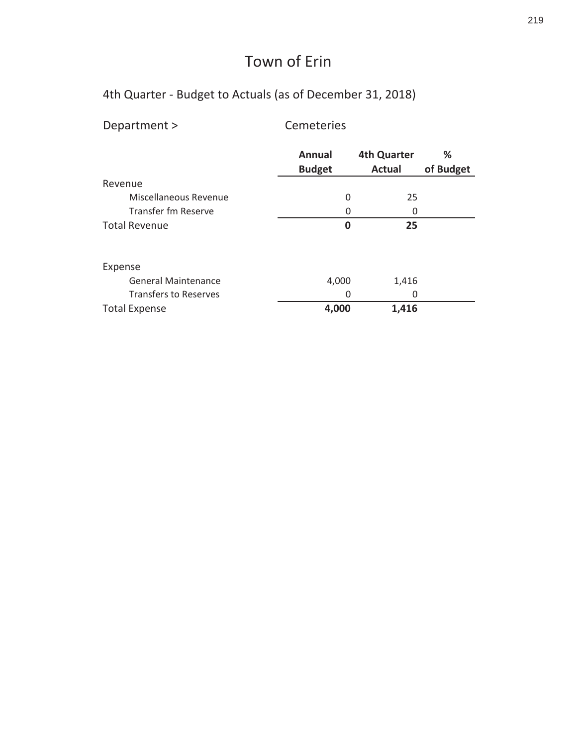| Department >                 | Cemeteries              |                                     |                |
|------------------------------|-------------------------|-------------------------------------|----------------|
|                              | Annual<br><b>Budget</b> | <b>4th Quarter</b><br><b>Actual</b> | ℅<br>of Budget |
| Revenue                      |                         |                                     |                |
| Miscellaneous Revenue        | 0                       | 25                                  |                |
| Transfer fm Reserve          | Ω                       | 0                                   |                |
| <b>Total Revenue</b>         | 0                       | 25                                  |                |
| Expense                      |                         |                                     |                |
| <b>General Maintenance</b>   | 4,000                   | 1,416                               |                |
| <b>Transfers to Reserves</b> | 0                       | 0                                   |                |
| <b>Total Expense</b>         | 4,000                   | 1,416                               |                |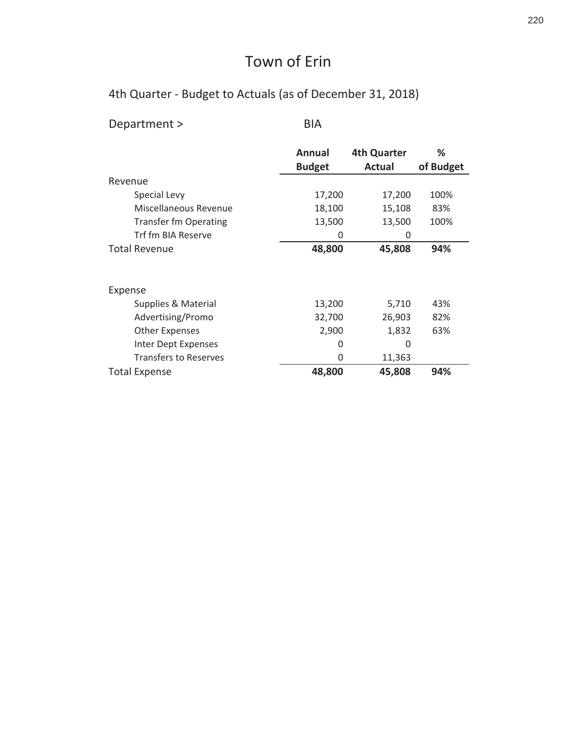| Department >                 | BIA           |                    |           |
|------------------------------|---------------|--------------------|-----------|
|                              | Annual        | <b>4th Quarter</b> | ℅         |
| Revenue                      | <b>Budget</b> | <b>Actual</b>      | of Budget |
| Special Levy                 | 17,200        | 17,200             | 100%      |
| Miscellaneous Revenue        | 18,100        | 15,108             | 83%       |
| <b>Transfer fm Operating</b> | 13,500        | 13,500             | 100%      |
| Trf fm BIA Reserve           | 0             | 0                  |           |
| <b>Total Revenue</b>         | 48,800        | 45,808             | 94%       |
| Expense                      |               |                    |           |
| Supplies & Material          | 13,200        | 5,710              | 43%       |
| Advertising/Promo            | 32,700        | 26,903             | 82%       |
| <b>Other Expenses</b>        | 2,900         | 1,832              | 63%       |
| Inter Dept Expenses          | 0             | 0                  |           |
| <b>Transfers to Reserves</b> | 0             | 11,363             |           |
| <b>Total Expense</b>         | 48,800        | 45,808             | 94%       |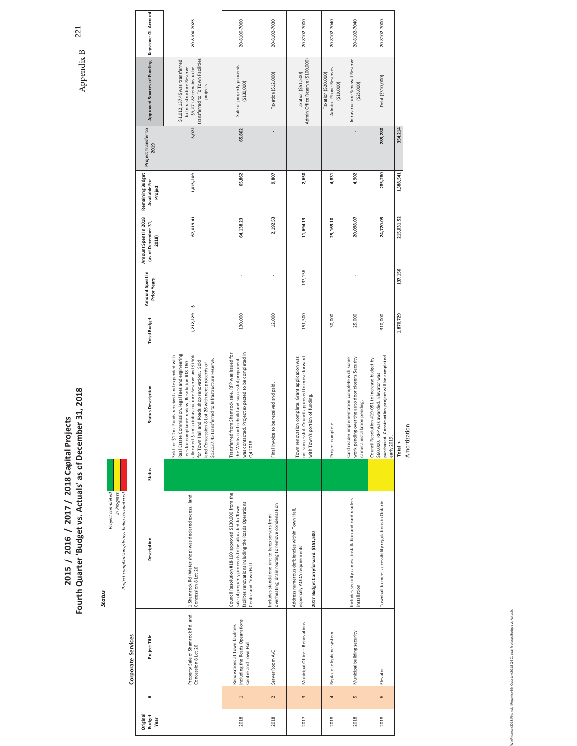# 2015 / 2016 / 2017 / 2018 Capital Projects<br>Fourth Quarter 'Budget vs. Actuals' as of December 31, 2018

**Status** 

Project complications/delays being encountered <mark>in the state of the state of the state of the state of the state of the state of the state of the state of the state of the state of the state of the state of the state of th</mark>

|                                    |                | Corporate Services                                                                        |                                                                                                                                                                                             |        |                                                                                                                                                                                                                                                                                                                                                                            |                     |                                       |                                                      |                                              |                             |                                                                                                                                            |                     |
|------------------------------------|----------------|-------------------------------------------------------------------------------------------|---------------------------------------------------------------------------------------------------------------------------------------------------------------------------------------------|--------|----------------------------------------------------------------------------------------------------------------------------------------------------------------------------------------------------------------------------------------------------------------------------------------------------------------------------------------------------------------------------|---------------------|---------------------------------------|------------------------------------------------------|----------------------------------------------|-----------------------------|--------------------------------------------------------------------------------------------------------------------------------------------|---------------------|
| Jeniginal<br><b>Budget</b><br>Year | #              | Project Title                                                                             | Description                                                                                                                                                                                 | Status | <b>Status Description</b>                                                                                                                                                                                                                                                                                                                                                  | <b>Total Budget</b> | Amount Spent In<br><b>Prior Years</b> | Amount Spent In 2018<br>(as of December 31,<br>2018) | Remaining Budget<br>Available For<br>Project | Project Transfer to<br>2019 | Approved Sources of Funding                                                                                                                | Keystone GL Account |
|                                    |                | Property Sale of Shamrock Rd. and<br>Concession 8 Lot 26                                  | 1 Shamrock Rd (Water shop) was declared excess. land<br>Concession 8 Lot 26                                                                                                                 |        | Real Estate Commission, legal fees and engineering<br>Sold for \$1.2m. Funds received and expended with<br>allocated \$1m to Infrastructure Reserve and \$130k<br>\$12,137.45 transferred to Infrastructure Reserve.<br>for Town Hall and Roads shop renovations. Sold<br>fees for compliance review. Resolution #18-160<br>land Concession 8 Lot 26 with next proceeds of | 1,212,229           | ï<br>S                                | 67,019.41                                            | 1,015,209                                    | 3,072                       | transferred to To Town Facilities<br>\$1,012,137.45 was transferred<br>to Infrastructure Reserve.<br>\$3,071.82 remains to be<br>projects. | 20-8100-7025        |
| 2018                               | $\overline{ }$ | including the Roads Opearations<br>Renovations at Town facilities<br>Centre and Town Hall | Council Resolution #18-160 approved \$130,000 from the<br>facilites renovations including the Roads Operations<br>sale of property proceeds to be allocated to Town<br>Centre and Town Hall |        | was contacted. Project expected to be completed in<br>Transferred from Shamrock sale. RFP was issued for<br>the Works roof rebuild and successful proponent<br>Q4 2018.                                                                                                                                                                                                    | 130,000             |                                       | 64,138.23                                            | 65,862                                       | 65,862                      | Sale of property proceeds<br>(5130,000)                                                                                                    | 20-8100-7060        |
| 2018                               | $\sim$         | Server Room A/C                                                                           | overheating, drain routing to remove condensation<br>includes standalone unit to keep servers from                                                                                          |        | Final invoice to be received and paid.                                                                                                                                                                                                                                                                                                                                     | 12,000              |                                       | 2,192.53                                             | 9,807                                        | ï                           | Taxation (\$12,000)                                                                                                                        | 20-8102-7030        |
| 2017                               | $\mathsf{m}$   | Municipal Office - Renovations                                                            | Address numerous deficiencies within Town Hall,<br>2017 Budget Carryforward: \$151,500<br>especially AODA requirements                                                                      |        | Town renovation complete. Grant application was<br>not successful. Council approved to move forward<br>portion of funding.<br>with Town's                                                                                                                                                                                                                                  | 151,500             | 137,156                               | 11,694.13                                            | 2,650                                        |                             | Admin Office Reserve (\$100,000)<br>Taxation (\$51,500)                                                                                    | 20-8102-7000        |
| 2018                               | 4              | Replace telephone system                                                                  |                                                                                                                                                                                             |        | Project complete.                                                                                                                                                                                                                                                                                                                                                          | 30,000              |                                       | 25,169.10                                            | 4,831                                        |                             | Admin - Phone Reserves<br>Taxation (\$20,000)<br>(510,000)                                                                                 | 20-8102-7040        |
| 2018                               | $\sqrt{2}$     | Municipal building security                                                               | Includes security camera installation and card readers<br>nstallation                                                                                                                       |        | Card reader implementation complete with some<br>work pending over the auto door closers. Security<br>camera installation pending.                                                                                                                                                                                                                                         | 25,000              |                                       | 20,098.07                                            | 4,902                                        |                             | Infrastructure Renewal Reserve<br>(\$25,000)                                                                                               | 20-8102-7040        |
| 2018                               | $\circ$        | Elevator                                                                                  | Townhall to meet accessibility regulations in Ontario                                                                                                                                       |        | purchased. Construction project will be completed<br>Council Resolution #19-051 to increase budget by<br>\$60,000. RFP was awarded. Elevator was<br>early 2019.                                                                                                                                                                                                            | 310,000             |                                       | 24,720.05                                            | 285,280                                      | 285,280                     | Debt (\$310,000)                                                                                                                           | 20-8102-7000        |
|                                    |                |                                                                                           |                                                                                                                                                                                             |        | Total $>$                                                                                                                                                                                                                                                                                                                                                                  | 1,870,729           | 137,156                               | 215,031.52                                           | 1,388,541                                    | 354,214                     |                                                                                                                                            |                     |
|                                    |                |                                                                                           |                                                                                                                                                                                             |        | Amortization                                                                                                                                                                                                                                                                                                                                                               |                     |                                       |                                                      |                                              |                             |                                                                                                                                            |                     |

ancial Reports\4th Quarter\2018 Q4 Capital Projects Budget vs Actuals W:\Finance\2018 Fin

Appendix B  $221$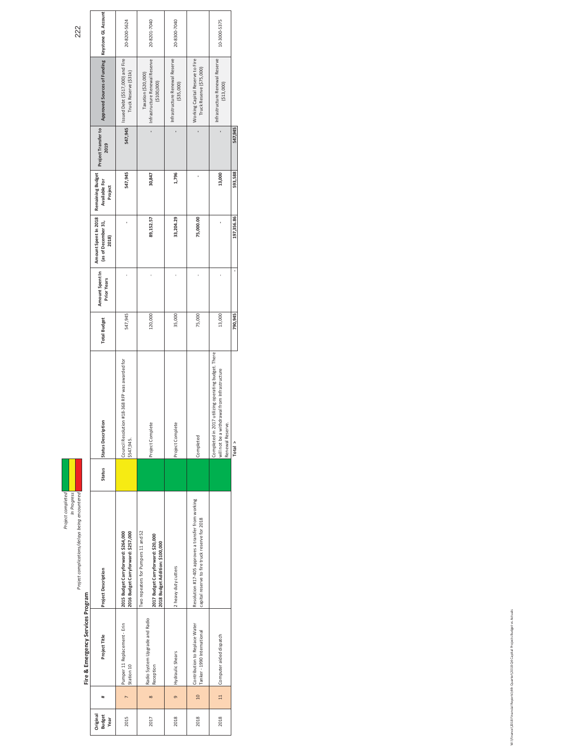Project complications/delays being encountered<br>In Progress<br>Project complications/delays being encountered Project completed Project complications/delays being encountered *<i>In* Progress

**Fire & Emergency Services Program** 

Fire & Emergency Services Program

Project Title Project Description Status Status Description Status Description Total Budget Amount Spent (as of December 3.1, Available For Project Transfer to Approved Sources of Funding Keystome GLACcount<br>Hole and Descri Keystone GL Accour 20-8200-5624 20-8201-7040 20-8300-7040 10-3000-5375 2015 Pumper11 Replacement - Erin 2015 Budget Carryforward: \$284,000 nicked Council Resolution #183-388 RFP was awarded for says argust carry and the spacement - Erin 2015 Budget Carryforward: \$287,000 not Fire 20200-5624<br>I 20-8201-7040 Τόσεθ , Hydraulic Shears Muty utters , Phopet Complete , Project Complete Project Complete , Project Complete , Project Complete , a cosa το τρατο τους τους τρατο τους τρατο τους τρατο τους τρατο τους τρατο τρατο τρατο τ **(**3000 **13,000** 13,000 **13,000 15,000 15,000 16,000 16,000 16,000 16,000 16,000 16,000 16,000 16,000** Issued Debt (\$517,000) and Fire<br>Truck Reserve (\$31k) Taxation (\$20,000)<br>Infrastructure Renewal Reserve<br>(\$100,000) Infrastructure Renewal Reserve<br>(\$35,000) Working Capital Reserve to Fire<br>Truck Reserve (\$75,000) 2018 | Contributionto Resolution #17-405 approves a transfer from working<br>I Tanker 1990 International capital reserve for 2018 | Capital Completed Completed Completed Completed Capital Reserve for 2018 | Truck Reserve (\$75 Infrastructure Renewal Reserve<br>(\$13,000) Approved Sources of Funding Infrastructure Renewal Reserve Taxation (\$20,000) 547,945 Project Transfer to<br>2019 547,945  $\bar{z}$  $\bar{z}$  $\bar{z}$ WƌŽũĞĐƚŽŵƉůĞƚĞ ϭϮϬ͕ϬϬϬ Ͳ **ϴϵ͕ϭϱϮ͘ϱϳ ϯϬ͕ϴϰϳ Ͳ** J, Remaining Budget<br>Available For<br>Project 547,945 30,847 1,796 13,000 593,588 Amount Spent In 2018<br>(as of December 31,<br>2018) 33,204.29 89,152.57 75,000.00 197,356.86  $\bar{1}$ Ŷ, Amount Spent In<br>Prior Years  $\bar{1}$  $\hat{\boldsymbol{\theta}}$  $\bar{\beta}$  $\bar{1}$ 547,945 120,000 35,000 75,000 13,000 790,945 **Total Budget** Completed in 2017 utilizing operating budget. There<br>will not be a withdrawal from Infrastructure<br>Renewal Reserve.<br>Total > Completed in 2017 utilizing operating budget. There Council Resolution #18-368 RFP was awarded for<br>\$547,945. will not be a withdrawal from Infrastructure **Status Description** roject Complete roject Complete Renewal Reserve. ompleted Status Resolution #17-405 approves a transfer from working<br>capital reserve to fire truck reserve for 2018 2015 Budget Carryforward: \$264,000<br>2016 Budget Carryforward: \$257,000 wo repeaters for Pumpers 11 and 52 Two repeaters for Pumpers 11 and 52 2017 Budget Carryforward: \$20,000<br>2018 Budget Addition: \$100,000 **2017 Budget Carryforward: \$20,000 2018 Budget Addition: \$100,000** heavy duty cutters Project Description Radio System Upgrade and Radio<br>Reception Radio System Upgrade and Radio<br>Reception Pumper 11 Replacement - Erin<br>Station 10 Contribution to Replace Water<br>Tanker - 1990 International Computer aided dispatch Project Title 2018 | 11 | Computer aided dispatch lydraulic Shears  $\Omega$  $\Xi$  $\mathbf{r}$  $\ddot{}$  $\infty$  $\circ$ Driginal<br>Budget<br>Year 2015 2017 2018 2018 2018

**dŽƚĂůх ϳϵϬ͕ϵϰϱ Ͳ ϭϵϳ͕ϯϱϲ͘ϴϲ ϱϵϯ͕ϱϴϴ ϱϰϳ͕ϵϰϱ**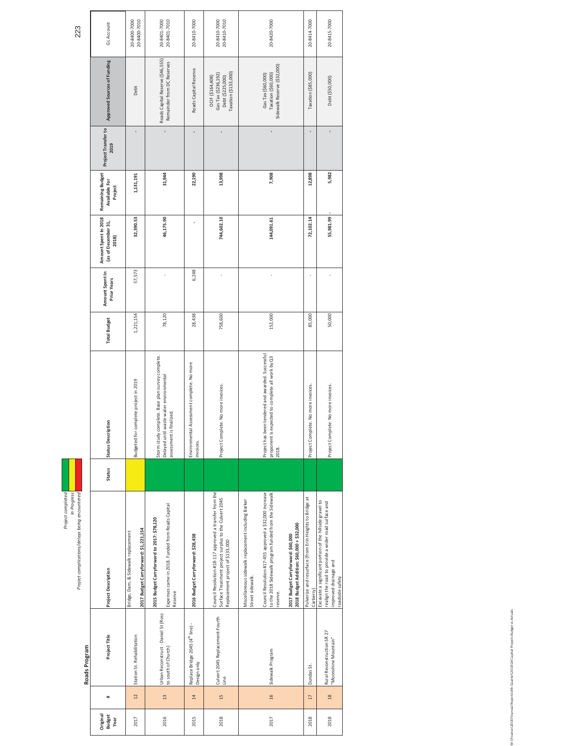| roject completed | In Progress | troject complications/delays being encountered |
|------------------|-------------|------------------------------------------------|

|                                   |                 | Roads Program                                               |                                                                                                                                                                                                                                                                                            |               |                                                                                                                         |                     |                                       |                                                      |                                                     |                             |                                                                                     |                              |
|-----------------------------------|-----------------|-------------------------------------------------------------|--------------------------------------------------------------------------------------------------------------------------------------------------------------------------------------------------------------------------------------------------------------------------------------------|---------------|-------------------------------------------------------------------------------------------------------------------------|---------------------|---------------------------------------|------------------------------------------------------|-----------------------------------------------------|-----------------------------|-------------------------------------------------------------------------------------|------------------------------|
| Driginal<br><b>Budget</b><br>Year | #               | Project Title                                               | <b>Project Description</b>                                                                                                                                                                                                                                                                 | <b>Status</b> | Status Description                                                                                                      | <b>Total Budget</b> | Amount Spent In<br><b>Prior Years</b> | Amount Spent In 2018<br>(as of December 31,<br>2018) | Remaining Budget<br><b>Available For</b><br>Project | Project Transfer to<br>2019 | Approved Sources of Funding                                                         | GL Account                   |
| 2017                              | 12              | Station St. Rehabilitation                                  | 2017 Budget Carryforward: \$1,221,154<br>Bridge, Dam, & Sidewalk replacement                                                                                                                                                                                                               |               | Budgeted for complete project in 2019                                                                                   | 1,221,154           | 57,573                                | 32,390.53                                            | 1,131,191                                           |                             | Debt                                                                                | 20-8400-7000<br>20-8400-7010 |
| 2016                              | $\frac{1}{2}$   | Urban Reconstruct - Daniel St (Ross<br>to south of Church)  | Expenses came in 2018. Funded from Roads Capital<br>2015 Budget Carryforward to 2017: \$78,120<br>Reserve                                                                                                                                                                                  |               | Storm study complete. Base plan survey complete.<br>Delayed until waste water environmental<br>assessment is finalized. | 78,120              |                                       | 46,175.90                                            | 31,944                                              |                             | Roads Capital Reserve (\$46,555)<br>Remainder from DC Reserves                      | 20-8401-7010<br>20-8401-7000 |
| 2015                              | 14              | Replace Bridge 2045 (4 <sup>th</sup> line) -<br>Design only | 2016 Budget Carryforward: \$28,438                                                                                                                                                                                                                                                         |               | Environmental Assessment complete. No more<br>invoices.                                                                 | 28,438              | 6,248                                 |                                                      | 22,190                                              |                             | Roads Capital Reserve                                                               | 20-8410-7000                 |
| 2018                              | 15              | Culvert 2045 Replacement-Fourth<br>Line                     | Council Resolution #18-117 approved a transfer from the<br>Surface Treatment project surplus to the Culvert 2045<br>Replacement project of \$133,000                                                                                                                                       |               | Project Complete. No more invoices.                                                                                     | 758,600             |                                       | 744,602.10                                           | 13,998                                              |                             | Taxation (\$133,000)<br>Gas Tax (\$236,192)<br>Debt (\$225,000)<br>OCIF (\$164,408) | 20-8410-7010<br>20-8410-7000 |
| 2017                              | 16              | Sidewalk Program                                            | Council Resolution #17-455 approved a \$32,000 increase<br>to the 2018 Sidewalk program funded from the Sidewalk<br>Miscellaneous sidewalk replacement including Barker<br>2018 Budget Addition: \$60,000 + \$32,000<br>2017 Budget Carryforward: \$60,000<br>Street sidewalk.<br>reserve. | 2018.         | Project has been tendered and awarded. Successful<br>proponent is expected to complete all work by Q3                   | 152,000             |                                       | 144,091.61                                           | 7,908                                               |                             | Sidewalk Reserve (\$32,000)<br>Taxation (\$60,000)<br>Gas Tax (\$60,000)            | 20-8420-7000                 |
| 2018                              | $\overline{17}$ | Dundas St.                                                  | Pulverize and resurface (from Erin Heights to Bridge at<br>Carberry)                                                                                                                                                                                                                       |               | Project Complete. No more invoices.                                                                                     | 85,000              |                                       | 72,102.14                                            | 12,898                                              |                             | Taxation (\$85,000)                                                                 | 20-8414-7000                 |
| 2018                              | 18              | Rural Reconstruction SR 27<br>"Moonshine Mountain"          | Excavate a significant portion of the hillside gravel to<br>realign the road to provide a wider road surface and<br>improved drainage and<br>roadside safety                                                                                                                               |               | Project Complete. No more invoices.                                                                                     | 50,000              |                                       | 55,981.99                                            | 5,982                                               |                             | Debt (\$50,000)                                                                     | 20-8415-7000                 |

Quarter\2018 Q4 Capital Projects Budget vs Actuals Wi\Finance\2018 Financial Reports\4th Quarter\2018 Q4 Capital Projects Budget vs Actuals 12018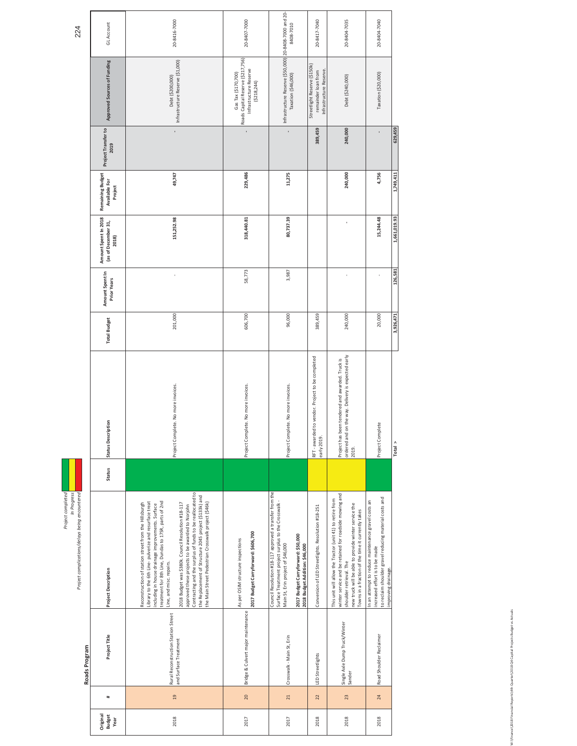| 224                                                                                | GL Account                                           | 20-8416-7000                                                                                                                                                                                                                                                                                                                                                                                                                                                                                                                                   | 20-8407-7000                                                                                     | 8408-7010                                                                                                                                                                                                                   | 20-8417-7040                                                                   | 20-8404-7035                                                                                                                                                                                                                                                 | 20-8404-7040                                                                                                                                                           |              |
|------------------------------------------------------------------------------------|------------------------------------------------------|------------------------------------------------------------------------------------------------------------------------------------------------------------------------------------------------------------------------------------------------------------------------------------------------------------------------------------------------------------------------------------------------------------------------------------------------------------------------------------------------------------------------------------------------|--------------------------------------------------------------------------------------------------|-----------------------------------------------------------------------------------------------------------------------------------------------------------------------------------------------------------------------------|--------------------------------------------------------------------------------|--------------------------------------------------------------------------------------------------------------------------------------------------------------------------------------------------------------------------------------------------------------|------------------------------------------------------------------------------------------------------------------------------------------------------------------------|--------------|
|                                                                                    | Approved Sources of Funding                          | Infrastructure Reserve (\$1,000)<br>Debt (\$200,000)                                                                                                                                                                                                                                                                                                                                                                                                                                                                                           | Roads Capital Reserve (\$217,756)<br>Infrastructure Reserve<br>Gas Tax (\$170,700)<br>(5218,244) | Infrastructure Reserve (\$50,000) 20-8408-7000 and 20-<br>Taxation (\$46,000)                                                                                                                                               | Streetlight Reserve (\$150k)<br>Infrastructure Reserve.<br>remainder loan from | Debt (\$240,000)                                                                                                                                                                                                                                             | Taxation (\$20,000)                                                                                                                                                    |              |
|                                                                                    | Project Transfer to<br>2019                          |                                                                                                                                                                                                                                                                                                                                                                                                                                                                                                                                                | ï                                                                                                |                                                                                                                                                                                                                             | 389,459                                                                        | 240,000                                                                                                                                                                                                                                                      |                                                                                                                                                                        | 629,459      |
|                                                                                    | Remaining Budget<br>Available For<br>Project         | 49,747                                                                                                                                                                                                                                                                                                                                                                                                                                                                                                                                         | 229,486                                                                                          | 11,275                                                                                                                                                                                                                      |                                                                                | 240,000                                                                                                                                                                                                                                                      | 4,756                                                                                                                                                                  | 1,749,411    |
|                                                                                    | Amount Spent In 2018<br>(as of December 31,<br>2018) | 151,252.98                                                                                                                                                                                                                                                                                                                                                                                                                                                                                                                                     | 318,440.81                                                                                       | 80,737.39                                                                                                                                                                                                                   |                                                                                |                                                                                                                                                                                                                                                              | 15,244.48                                                                                                                                                              | 1,661,019.93 |
|                                                                                    | Amount Spent In<br><b>Prior Years</b>                |                                                                                                                                                                                                                                                                                                                                                                                                                                                                                                                                                | 58,773                                                                                           | 3,987                                                                                                                                                                                                                       |                                                                                |                                                                                                                                                                                                                                                              |                                                                                                                                                                        | 126,581      |
|                                                                                    | <b>Total Budget</b>                                  | 201,000                                                                                                                                                                                                                                                                                                                                                                                                                                                                                                                                        | 606,700                                                                                          | 96,000                                                                                                                                                                                                                      | 389,459                                                                        | 240,000                                                                                                                                                                                                                                                      | 20,000                                                                                                                                                                 | 3,926,471    |
|                                                                                    | Status Description                                   | Project Complete. No more invoices.                                                                                                                                                                                                                                                                                                                                                                                                                                                                                                            | Project Complete. No more invoices.                                                              | Project Complete. No more invoices.                                                                                                                                                                                         | to vendor. Project to be completed<br>RFT - awarded<br>early 2019.             | Project has been tendered and awarded. Truck is<br>ordered and on the way. Delivery is expected early<br>2019.                                                                                                                                               | Project Complete                                                                                                                                                       | Total $\geq$ |
|                                                                                    | Status                                               |                                                                                                                                                                                                                                                                                                                                                                                                                                                                                                                                                |                                                                                                  |                                                                                                                                                                                                                             |                                                                                |                                                                                                                                                                                                                                                              |                                                                                                                                                                        |              |
| Project completed<br>In Progress<br>Project complications/delays being encountered | <b>Project Description</b>                           | Contracting and the surplus of funds to be reallocated to<br>the Replacement of Structure 2045 project (\$133k) and<br>the Main Street Pedestrian Crosswalk project (\$46k)<br>reatment for 8th Line, Dundas to 17SR, parts of 2nd<br>library to the 6th Line-pulverize and resurface treat<br>Reconstruction of station street from the Hillsburgh<br>2018 Budget was \$380k. Council Resolution #18-117<br>including in house drainage improvements. Surface<br>approved these projects to be awarded to Norjohn<br>Line, and misc. repairs. | 2017 Budget Carryforward: \$606,700<br>As per OSIM structure inspections                         | Council Resolution #18-117 approved a transfer from the<br>Surface Treatment project surplus to the Crosswalk-<br>2017 Budget Carryforward: \$50,000<br>Main St, Erin project of \$46,000<br>2018 Budget Addition: \$46,000 | Conversion of LED Streetlights. Resolution #18-251                             | winter service and be retained for roadside mowing and<br>This unit will allow the Tractor (unit 41) to retire from<br>new truck will be able to provide winter service the<br>Towns in a fraction of the time it currently takes<br>shoulder retrieval. The | to reclaim shoulder gravel reducing material costs and<br>In an attempt to reduce maintenance gravel costs an<br>increased effort is to be made<br>improving drainage. |              |
| Roads Program                                                                      | Project Title                                        | Rural Reconstruction Station Street<br>and Surface Treatment                                                                                                                                                                                                                                                                                                                                                                                                                                                                                   | Bridge & Culvert major maintenance                                                               | Crosswalk - Main St, Erin                                                                                                                                                                                                   | LED Streetlights                                                               | Single Axle Dump Truck/Winter<br>Sander                                                                                                                                                                                                                      | Road Shoulder Reclaimer                                                                                                                                                |              |
|                                                                                    | $\ddot{}$                                            | $\overline{a}$                                                                                                                                                                                                                                                                                                                                                                                                                                                                                                                                 | 20                                                                                               | 21                                                                                                                                                                                                                          | 22                                                                             | 23                                                                                                                                                                                                                                                           | 24                                                                                                                                                                     |              |
|                                                                                    | Original<br>Budget<br>Year                           | 2018                                                                                                                                                                                                                                                                                                                                                                                                                                                                                                                                           | 2017                                                                                             | 2017                                                                                                                                                                                                                        | 2018                                                                           | 2018                                                                                                                                                                                                                                                         | 2018                                                                                                                                                                   |              |

ter\2018 Q4 Capital Projects Budget vs Actuals Wi\Finance\2018 Financial Reports\4th Quarter\2018 Q4 Capital Projects Budget vs Actuals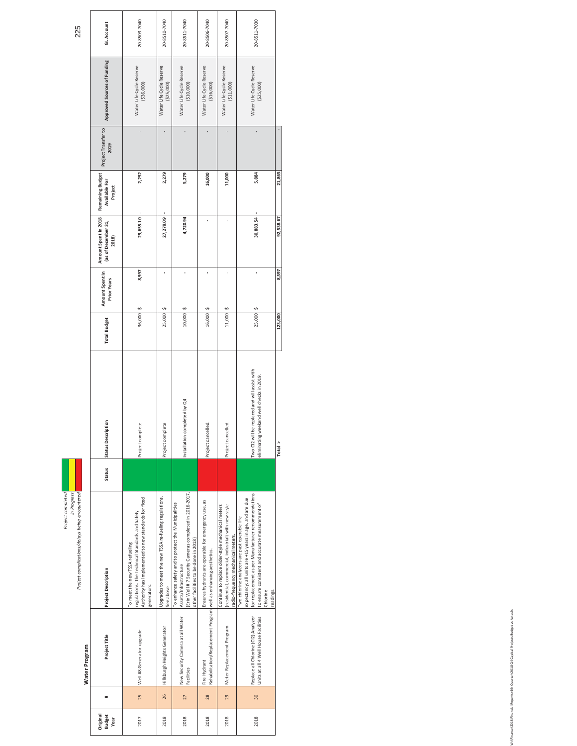| roject completec | In Progress | Project complications/delays being encountered |
|------------------|-------------|------------------------------------------------|

Water Program

Water Program

| GL Account                                           | 20-8503-7040                                                                                                                                            | 20-8510-7040                                                       | 20-8511-7040                                                                                                                                                                  | 20-8506-7040                                                                     | 20-8507-7040                                                                                                                                   | 20-8511-7030                                                                                                                                                                                                                                |           |
|------------------------------------------------------|---------------------------------------------------------------------------------------------------------------------------------------------------------|--------------------------------------------------------------------|-------------------------------------------------------------------------------------------------------------------------------------------------------------------------------|----------------------------------------------------------------------------------|------------------------------------------------------------------------------------------------------------------------------------------------|---------------------------------------------------------------------------------------------------------------------------------------------------------------------------------------------------------------------------------------------|-----------|
| Approved Sources of Funding                          | Water Life Cycle Reserve<br>(336,000)                                                                                                                   | Water Life Cycle Reserve<br>(525,000)                              | Water Life Cycle Reserve<br>(510,000)                                                                                                                                         | Water Life Cycle Reserve<br>(516,000)                                            | Water Life Cycle Reserve<br>(511,000)                                                                                                          | Water Life Cycle Reserve<br>(525,000)                                                                                                                                                                                                       |           |
| Project Transfer to<br>2019                          |                                                                                                                                                         |                                                                    |                                                                                                                                                                               |                                                                                  |                                                                                                                                                |                                                                                                                                                                                                                                             |           |
| Remaining Budget<br>Available For<br>Project         | 2,252                                                                                                                                                   | 2,279                                                              | 5,279                                                                                                                                                                         | 16,000                                                                           | 11,000                                                                                                                                         | 5,884                                                                                                                                                                                                                                       | 21,865    |
| Amount Spent In 2018<br>(as of December 31,<br>2018) | 29,655.10                                                                                                                                               | 27,279.09                                                          | 4,720.94                                                                                                                                                                      |                                                                                  |                                                                                                                                                | 30,883.54                                                                                                                                                                                                                                   | 92,538.67 |
| Amount Spent In<br><b>Prior Years</b>                | 8,597                                                                                                                                                   |                                                                    |                                                                                                                                                                               |                                                                                  |                                                                                                                                                |                                                                                                                                                                                                                                             | 8,597     |
| <b>Total Budget</b>                                  | $36,000$ \$                                                                                                                                             | 25,000                                                             | $10,000$ \$                                                                                                                                                                   | 16,000 \$                                                                        | 11,000                                                                                                                                         | 25,000                                                                                                                                                                                                                                      | 123,000   |
| Status Description                                   | Project complete                                                                                                                                        | Project complete                                                   | Installation completed by Q4                                                                                                                                                  | Project cancelled.                                                               | Project cancelled.                                                                                                                             | I be replaced and will assist with<br>weekend well checks in 2019.<br>Two CI2 wil<br>eliminating                                                                                                                                            | Total >   |
| Status                                               |                                                                                                                                                         |                                                                    |                                                                                                                                                                               |                                                                                  |                                                                                                                                                |                                                                                                                                                                                                                                             |           |
| <b>Project Description</b>                           | Authority has implemented to new standards for fixed<br>egulations. The Technical Standards and Safety<br>To meet the new TSSA refueling<br>generators. | Ipgrades to meet the new TSSA re-fueling regulations.<br>See above | Erin Well #7 Security Cameras completed in 2016-2017,<br>To enhance safety and to protect the Municipalities<br>other facilities to be done in 2018)<br>Assets/Infrastructure | Ensures hydrants are operable for emergency use, as                              | residential, commercial, industrial) with new-style<br>Continue to replace older-style mechanical meters<br>radio-frequency mechanical meters. | for replacement as per Manufacturer recommendations<br>expectancy; all units are +15 years in age, and are due<br>to ensure consistent and accurate measurement of<br>Two chlorine analyzers are past operable life<br>Chlorine<br>eadings. |           |
| Project Title                                        | Well #8 Generator upgrade                                                                                                                               | Hillsburgh Heights Generator                                       | New Security Camera at all Water<br>Facilities                                                                                                                                | Rehabilitation/Replacement Program well as enhancing aesthetics.<br>Fire Hydrant | Meter Replacement Program                                                                                                                      | Replace all Chlorine (Cl2) Analyzer<br>Units at all 4 Well House Facilities                                                                                                                                                                 |           |
| #                                                    | 25                                                                                                                                                      | 26                                                                 | 27                                                                                                                                                                            | 28                                                                               | 29                                                                                                                                             | 30 <sub>o</sub>                                                                                                                                                                                                                             |           |
| Original<br><b>Budget</b><br>Year                    | 2017                                                                                                                                                    | 2018                                                               | 2018                                                                                                                                                                          | 2018                                                                             | 2018                                                                                                                                           | 2018                                                                                                                                                                                                                                        |           |

 $Total >$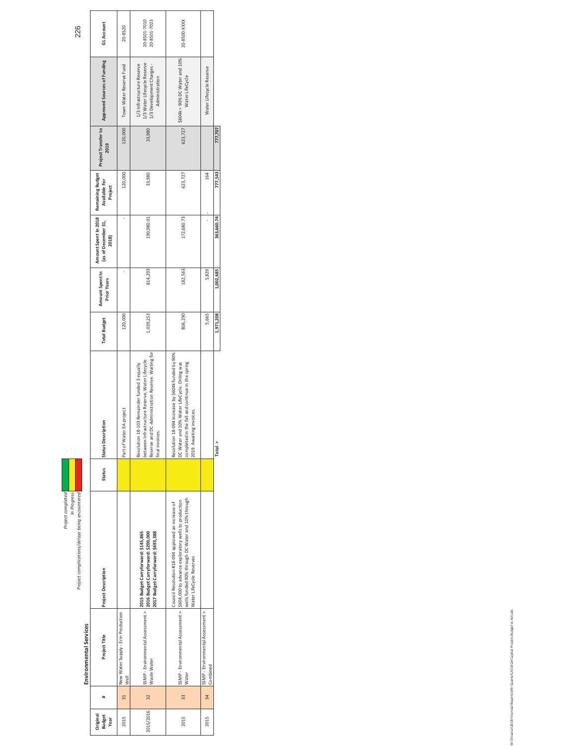Project complications/delays being encountered<br>In Project complications/delays being encountered<br>Project complications/delays being encountered

|                               | GL Account                                                            | 20-8520                                    | 20-8501-7010<br>20-8501-7023                                                                                                                                           | 20-8500-XXXX                                                                                                                                                                                                                  |                                             |            |
|-------------------------------|-----------------------------------------------------------------------|--------------------------------------------|------------------------------------------------------------------------------------------------------------------------------------------------------------------------|-------------------------------------------------------------------------------------------------------------------------------------------------------------------------------------------------------------------------------|---------------------------------------------|------------|
|                               | Approved Sources of Funding                                           | Town Water Reserve Fund                    | 1/3 Water Lifecycle Reserve<br>1/3 Infrastructure Reserve<br>1/3 Development Charges -<br>Administration                                                               | \$604k = 90% DC Water and 10%<br>Water LifeCycle                                                                                                                                                                              | Water Lifecycle Reserve                     |            |
|                               | Project Transfer to<br>2019                                           | 120,000                                    | 33,980                                                                                                                                                                 | 623,727                                                                                                                                                                                                                       |                                             | 777,707    |
|                               | Available For<br>Project                                              | 120,000                                    | 33,980                                                                                                                                                                 | 623,727                                                                                                                                                                                                                       | 164                                         | 777,543    |
|                               | Amount Spent In 2018 Remaining Budget<br>(as of December 31,<br>2018) |                                            | 190,980.01                                                                                                                                                             | 172,680.73                                                                                                                                                                                                                    |                                             | 363,660.74 |
|                               | Amount Spent In<br><b>Prior Years</b>                                 |                                            | 814,293                                                                                                                                                                | 182,563                                                                                                                                                                                                                       | 5,829                                       | 1,002,685  |
|                               | <b>Total Budget</b>                                                   | 120,000                                    | 1,039,253                                                                                                                                                              | 806,290                                                                                                                                                                                                                       | 5,665                                       | 1,971,208  |
|                               | Status Description                                                    | Part of Water EA project                   | Reserve and DC-Administration Reserve. Waiting for<br>between Infrastructure Reserve, Water Lifecycle<br>Resolution 18-103 Remainder funded 3 equally<br>inal invoices | Resolution 18-094 Increase by \$604k funded by 90%<br>in the fall and continue in the spring<br>DC Water and 10% Water LifeCycle. Driling was<br>2019. Awaiting invoices.<br>completed i                                      |                                             | Total >    |
|                               | <b>Status</b>                                                         |                                            |                                                                                                                                                                        |                                                                                                                                                                                                                               |                                             |            |
|                               | <b>Project Description</b>                                            |                                            | SSMP - Environmental Assessment > 2015 Budget Carryforward: \$145,865<br>www.www.www.www.php.com.com/corryforward: \$200,000<br>2017 Budget Carryforward: \$693,388    | wells funded 90% through DC Water and 10% through<br>SSMP - Environmental Assessment > \$604,000 to advance exploratory wells to production<br>Council Resolution #18-094 approved an increase of<br>Water LifeCycle Reserves |                                             |            |
| <b>Environmental Services</b> | Project Title                                                         | New Water Supply - Erin Production<br>Well | Waste Water                                                                                                                                                            | Water                                                                                                                                                                                                                         | SSMP-Environmental Assessment ><br>Combined |            |
|                               |                                                                       | 31                                         | 32                                                                                                                                                                     | 33                                                                                                                                                                                                                            | 34                                          |            |
|                               | Original<br><b>Budget</b><br>Year                                     | 2015                                       | 2015/2016                                                                                                                                                              | 2015                                                                                                                                                                                                                          | 2015                                        |            |

W:\Finance\2018 Financial Reports\4th Quarter\2018 Q4 Capital Projects Budget vs Actuals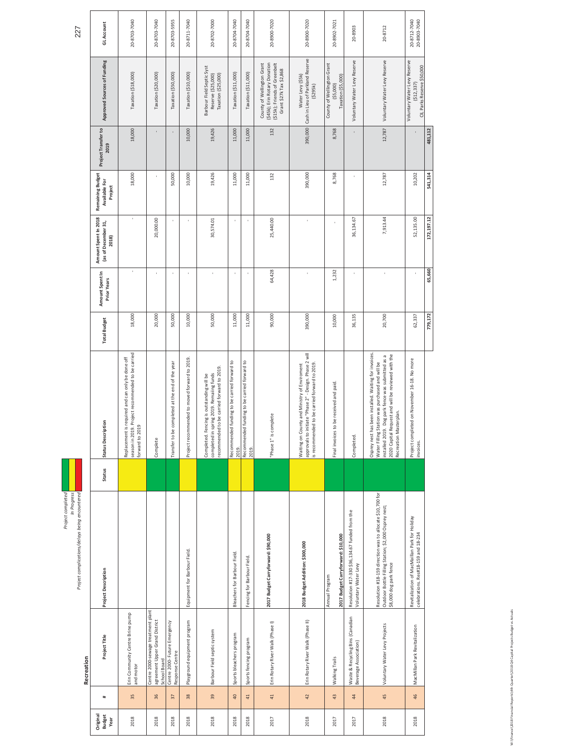| Project completec | In Progress | roject complications/delays being encountered |
|-------------------|-------------|-----------------------------------------------|

|            | <b>GLAccount</b>                                     | 20-8703-7040                                                                                                             | 20-8703-7040                                                                         | 20-8703-5955                                     | 20-8711-7040                                  | 20-8702-7000                                                                                                                        | 20-8704-7040                                          | 20-8704-7040                                          | 20-8900-7020                                                                                                            | 20-8900-7020                                                                                                                                            | 20-8902-7021                                                 | 20-8903                                                                | 20-8712                                                                                                                                                                                                                                      | 20-8712-7040<br>20-8903-7040                                                         |            |
|------------|------------------------------------------------------|--------------------------------------------------------------------------------------------------------------------------|--------------------------------------------------------------------------------------|--------------------------------------------------|-----------------------------------------------|-------------------------------------------------------------------------------------------------------------------------------------|-------------------------------------------------------|-------------------------------------------------------|-------------------------------------------------------------------------------------------------------------------------|---------------------------------------------------------------------------------------------------------------------------------------------------------|--------------------------------------------------------------|------------------------------------------------------------------------|----------------------------------------------------------------------------------------------------------------------------------------------------------------------------------------------------------------------------------------------|--------------------------------------------------------------------------------------|------------|
|            | Approved Sources of Funding                          | Taxation (\$18,000)                                                                                                      | Taxation (\$20,000)                                                                  | Taxation (\$50,000)                              | Taxation (\$10,000)                           | Barbour Field Septic Syst<br>Taxation (\$25,000)<br>Reserve (\$25,000)                                                              | Taxation (\$11,000)                                   | Taxation (\$11,000)                                   | (\$45k); Erin Rotary Donation<br>(\$15k); Friends of Greenbelt<br>County of Wellington Grant<br>Grant \$27k Tax \$2,868 | 390,000 Cash in Lieu of Parkland Reserve<br>Water Levy (\$5k)<br>(5295k)                                                                                | County of Wellington Grant<br>Taxation (\$5,000)<br>(55,000) | Voluntary Water Levy Reserve                                           | Voluntary Water Levy Reserve                                                                                                                                                                                                                 | Voluntary Water Levy Reserve<br>CIL Parks Reserve \$50,000<br>(512, 337)             |            |
|            | Project Transfer to<br>2019                          | 18,000                                                                                                                   |                                                                                      |                                                  | 10,000                                        | 19,426                                                                                                                              | 11,000                                                | 11,000                                                | 132                                                                                                                     |                                                                                                                                                         | 8,768                                                        |                                                                        | 12,787                                                                                                                                                                                                                                       |                                                                                      | 481,112    |
|            | Remaining Budget<br>Available For<br>Project         | 18,000                                                                                                                   |                                                                                      | 50,000                                           | 10,000                                        | 19,426                                                                                                                              | 11,000                                                | 11,000                                                | 132                                                                                                                     | 390,000                                                                                                                                                 | 8,768                                                        |                                                                        | 12,787                                                                                                                                                                                                                                       | 10,202                                                                               | 541,314    |
|            | Amount Spent In 2018<br>(as of December 31,<br>2018) |                                                                                                                          | 20,000.00                                                                            |                                                  |                                               | 30,574.01                                                                                                                           |                                                       |                                                       | 25,440.00                                                                                                               | ï                                                                                                                                                       |                                                              | 36,134.67                                                              | 7,913.44                                                                                                                                                                                                                                     | 52,135.00                                                                            | 172,197.12 |
|            | Amount Spent In<br><b>Prior Years</b>                |                                                                                                                          |                                                                                      |                                                  |                                               |                                                                                                                                     |                                                       |                                                       | 64,428                                                                                                                  |                                                                                                                                                         | 1,232                                                        | Î,                                                                     |                                                                                                                                                                                                                                              |                                                                                      | 65,660     |
|            | <b>Total Budget</b>                                  | 18,000                                                                                                                   | 20,000                                                                               | 50,000                                           | 10,000                                        | 50,000                                                                                                                              | 11,000                                                | 11,000                                                | 90,000                                                                                                                  | 390,000                                                                                                                                                 | 10,000                                                       | 36,135                                                                 | 20,700                                                                                                                                                                                                                                       | 62,337                                                                               | 779,172    |
|            | <b>Status Description</b>                            | season in 2019. Project recommended to be carried<br>Replacement is required and can only be done off<br>forward to 2019 | Complete                                                                             | Transfer to be completed at the end of the year  | Project recommended to moved forward to 2019. | recommended to be carried forward to 2019.<br>completed in spring 2019. Remaiing funds<br>Completed. Fencing is outstanding will be | Recommended funding to be carried forward to<br>2019. | Recommended funding to be carried forward to<br>2019. | "Phase 1" is complete                                                                                                   | approvals to initiate "Phase 2" - Design. Phase 2 will<br>is recommended to be carried forward to 2019.<br>Waiting on County and Ministry of Enviroment | Final invoices to be received and paid.                      | Completed.                                                             | Osprey nest has been installed. Waiting for invoices<br>installed 2019. Dog park fence was submitted as a<br>2020 Capital Request and will be reviewed with the<br>Water Filling Station was purchased and will be<br>Recreation Masterplan. | Project completed on November 16-18. No more<br>invoices.                            |            |
|            | Status                                               |                                                                                                                          |                                                                                      |                                                  |                                               |                                                                                                                                     |                                                       |                                                       |                                                                                                                         |                                                                                                                                                         |                                                              |                                                                        |                                                                                                                                                                                                                                              |                                                                                      |            |
|            | <b>Project Description</b>                           |                                                                                                                          |                                                                                      |                                                  | Equipment for Barbour Field.                  |                                                                                                                                     | Bleachers for Barbour Field.                          | Fencing for Barbour Field.                            | 2017 Budget Carryforward: \$90,000                                                                                      | 2018 Budget Addition: \$300,000                                                                                                                         | 2017 Budget Carryforward: \$10,000<br>Annual Program         | Resolution #17-330 \$36,134.67 funded from the<br>Voluntary Water Levy | Resolution #18-159 direction was to allocate \$10,700 for<br>Outdoor Bottle Filling Station; \$2,000 Osprey nest;<br>\$8,000 dog park fence                                                                                                  | Revitalization of MacMaillan Park for Holiday<br>celebrations. Res#18-159 and 18-234 |            |
| Recreation | Project Title                                        | Erin Community Centre Brine pump<br>and motor                                                                            | Centre 2000-sewage treatment plant<br>agreement Upper Grand District<br>School Board | Centre 2000- Future Emergency<br>Response Centre | Playground equipment program                  | Barbour Field septic system                                                                                                         | Sports bleachers program                              | Sports fencing program                                | Erin Rotary River Walk (Phase I)                                                                                        | Erin Rotary River Walk (Phase II)                                                                                                                       | Walking Trails                                               | Waste & Recycling Bins (Canadian<br>Beverage Association)              | Voluntary Water Levy Projects                                                                                                                                                                                                                | MacMillan Park Revitalization                                                        |            |
|            | $\ddot{}$                                            | 35                                                                                                                       | 36                                                                                   | $\overline{37}$                                  | 38                                            | 39                                                                                                                                  | $\overline{a}$                                        | 41                                                    | 41                                                                                                                      | 42                                                                                                                                                      | 43                                                           | 4                                                                      | 45                                                                                                                                                                                                                                           | 46                                                                                   |            |
|            | Original<br><b>Budget</b><br>Year                    | 2018                                                                                                                     | 2018                                                                                 | 2018                                             | 2018                                          | 2018                                                                                                                                | 2018                                                  | 2018                                                  | 2017                                                                                                                    | 2018                                                                                                                                                    | 2017                                                         | 2017                                                                   | 2018                                                                                                                                                                                                                                         | 2018                                                                                 |            |

ojects Budget vs Actuals Wi\Finance\2018 Financial Reports\4th Quarter\2018 Q4 Capital Projects Budget vs Actuals 2018 Q4 Capital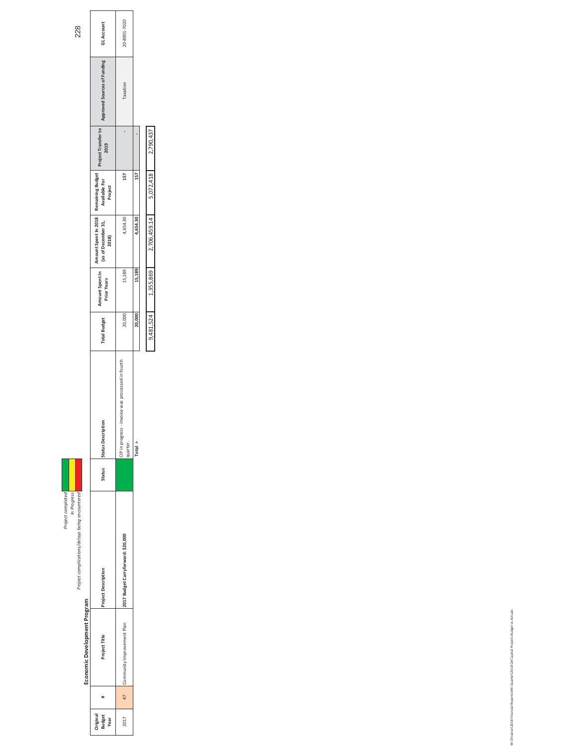| roiect completed | In Progress | troject complications/delays being encountered |
|------------------|-------------|------------------------------------------------|

**Economic Development Program** 

Economic Development Program

| <b>Budget</b><br>rigina<br>Year |    | Project Title              | ct Descriptior<br>ě               | <b>Status</b> | ription<br>us Descr                                                | <b>Total Budget</b> | Amount Spent In<br>Prior Years | Amount Spent In 2018 Remaining Budget<br>(as of December 31, Available For<br>2018) | Project | Project Transfer to<br>2019 | Approved Sources of Funding | <b>GLAccount</b> |
|---------------------------------|----|----------------------------|-----------------------------------|---------------|--------------------------------------------------------------------|---------------------|--------------------------------|-------------------------------------------------------------------------------------|---------|-----------------------------|-----------------------------|------------------|
| 2017                            | 47 | Community Improvement Plan | 017 Budget Carryforward: \$20,000 |               | ress - Invoice was processed in fourth<br>in progr<br>uarter.<br>å | 20,000              | 15,189                         | 4,654.30                                                                            | 157     |                             | Taxation                    | 20-8901-7020     |
|                                 |    |                            |                                   |               | Total >                                                            | 20,000              | 15,189                         | 4,654.30                                                                            | 157     |                             |                             |                  |
|                                 |    |                            |                                   |               |                                                                    |                     |                                |                                                                                     |         |                             |                             |                  |

|                       | 2,790,437 |
|-----------------------|-----------|
| Ē                     | 5,072,418 |
|                       | 7027071   |
| 15,189                | 1,355,869 |
| o oo<br>$\frac{2}{3}$ | 3,481,524 |
| Total                 |           |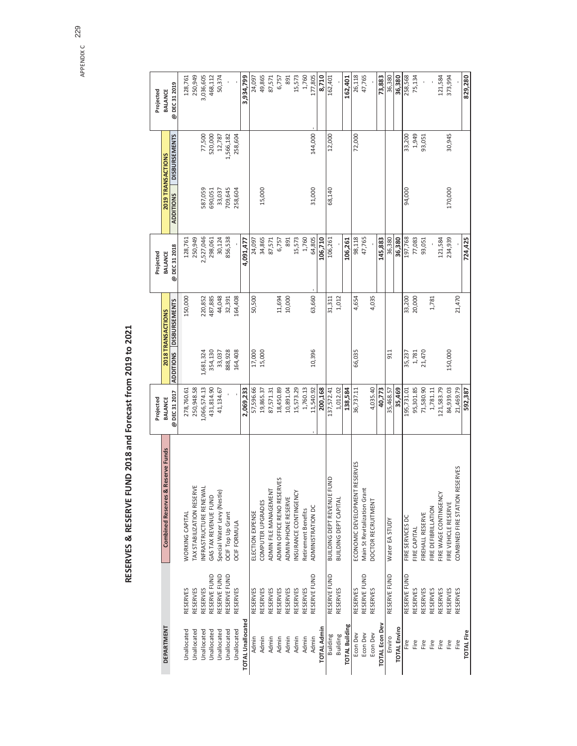APPENDIX C APPENDIX C 229

# RESERVES & RESERVE FUND 2018 and Forecast from 2019 to 2021 **RESERVES & RESERVE FUND 2018 and Forecast from 2019 to 2021**

|                          |                 |                                             | Projected      |           |                         | Projected      |                  |                      | Projected      |
|--------------------------|-----------------|---------------------------------------------|----------------|-----------|-------------------------|----------------|------------------|----------------------|----------------|
| <b>DEPARTMENT</b>        |                 | & Reserve Funds<br><b>Combined Reserves</b> | <b>BALANCE</b> |           | 2018 TRANSACTIONS       | <b>BALANCE</b> |                  | 2019 TRANSACTIONS    | <b>BALANCE</b> |
|                          |                 |                                             | @DEC312017     |           | ADDITIONS DISBURSEMENTS | @DEC312018     | <b>ADDITIONS</b> | <b>DISBURSEMENTS</b> | @ DEC 31 2019  |
| <b>Jnallocated</b>       | RESERVES        | <b>WORKING CAPITAL</b>                      | 278,760.61     |           | 150,000                 | 128,761        |                  |                      | 128,761        |
| Unallocated              | RESERVES        | <b>TAX STABILIZATION RESERVE</b>            | 250,948.58     |           |                         | 250,949        |                  |                      | 250,949        |
| Unallocated              | RESERVES        | NFRASTRUCTURE RENEWAL                       | 1,066,574.13   | 1,681,324 | 220,852                 | 2,527,046      | 587,059          | 77,500               | 3,036,605      |
| Unallocated              | RESERVE FUND    | GAS TAX REVENUE FUND                        | 431,814.90     | 354,130   | 487,885                 | 298,061        | 690,051          | 520,000              | 468,112        |
| Unallocated              | RESERVE FUND    | Special Water Levy (Nestle)                 | 41,134.67      | 33,037    | 44,048                  | 30,124         | 33,037           | 12,787               | 50,374         |
| Unallocated              | RESERVE FUND    | OCIF Top Up Grant                           |                | 888,928   | 32,391                  | 856,538        | 709,645          | 1,566,182            |                |
| Unallocated              | RESERVES        | <b><i>OCIF FORMULA</i></b>                  |                | 164,408   | 164,408                 |                | 258,604          | 258,604              |                |
| <b>TOTAL Unallocated</b> |                 |                                             | 2,069,233      |           |                         | 4,091,477      |                  |                      | 3,934,799      |
| Admin                    | RESERVES        | ELECTION EXPENSE                            | 57,596.66      | 17,000    | 50,500                  | 24,097         |                  |                      | 24,097         |
| Admin                    | RESERVES        | COMPUTER UPGRADES                           | 19,865.37      | 15,000    |                         | 34,865         | 15,000           |                      | 49,865         |
| Admin                    | RESERVES        | ADMIN FILE MANAGEMENT                       | 87,571.31      |           |                         | 87,571         |                  |                      | 87,571         |
| Admin                    | RESERVES        | ADMIN OFFICE RENO RESERVES                  | 18,450.89      |           | 11,694                  | 6,757          |                  |                      | 6,757          |
| Admin                    | RESERVES        | ADMIN-PHONE RESERVE                         | 10,891.04      |           | 10,000                  | 891            |                  |                      | 891            |
| Admin                    | RESERVES        | NSURANCE CONTINGENCY                        | 15,573.29      |           |                         | 15,573         |                  |                      | 15,573         |
| Admin                    | RESERVES        | Retirement Benefits                         | 1,760.13       |           |                         | 1,760          |                  |                      | 1,760          |
| Admin                    | RESERVE FUND    | ADMINISTRATION DC                           | 11,540.92      | 10,396    | 63,660                  | 64,805         | 31,000           | 144,000              | 177,805        |
| <b>TOTAL Admin</b>       |                 |                                             | 200,168        |           |                         | 106,710        |                  |                      | 8,710          |
| Building                 | RESERVE FUND    | BUILDING DEPT REVENUE FUND                  | 137,572.41     |           | 31,311                  | 106,261        | 68,140           | 12,000               | 162,401        |
| Building                 | RESERVES        | BUILDING DEPT CAPITAL                       | 1,012.02       |           | 1,012                   |                |                  |                      |                |
| <b>TOTAL Building</b>    |                 |                                             | 138,584        |           |                         | 106,261        |                  |                      | 162,401        |
| Econ Dev                 | <b>RESERVES</b> | ECONOMIC DEVELOPMENT RESERVES               | 36,737.11      | 66,035    | 4,654                   | 98,118         |                  | 72,000               | 26,118         |
| Econ Dev                 | RESERVE FUND    | Main St Revitalization Grant                |                |           |                         | 47,765         |                  |                      | 47,765         |
| Econ Dev                 | RESERVES        | DOCTOR RECRUITMENT                          | 4,035.40       |           | 4,035                   |                |                  |                      |                |
| <b>TOTAL Econ Dev</b>    |                 |                                             | 40,773         |           |                         | 145,883        |                  |                      | 73,883         |
| Enviro                   | RESERVE FUND    | Water EA STUDY                              | 35,468.57      | 911       |                         | 36,380         |                  |                      | 36,380         |
| <b>TOTAL Enviro</b>      |                 |                                             | 35,469         |           |                         | 36,380         |                  |                      | 36,380         |
| Fire                     | RESERVE FUND    | FIRE SERVICES DC                            | 195,731.01     | 35,237    | 33,200                  | 197,768        | 94,000           | 33,200               | 258,568        |
| Fire                     | RESERVES        | FIRE CAPITAL                                | 95,301.85      | 1,781     | 20,000                  | 77,083         |                  | 1,949                | 75,134         |
| Fire                     | RESERVES        | FIREHALL RESERVE                            | 71,580.90      | 21,470    |                         | 93,051         |                  | 93,051               |                |
| Fire                     | RESERVES        | FIRE DEFIBRILLATION                         | 1,781.11       |           | 1,781                   |                |                  |                      |                |
| Fire                     | <b>RESERVES</b> | FIRE WAGE CONTINGENCY                       | 121,583.79     |           |                         | 121,584        |                  |                      | 121,584        |
| Fire                     | <b>RESERVES</b> | FIRE VEHICLE RESERVE                        | 84,939.03      | 150,000   |                         | 234,939        | 170,000          | 30,945               | 373,994        |
| Fire                     | RESERVES        | RESERVES<br>COMBINED FIRE STATION           | 21,469.79      |           | 21,470                  |                |                  |                      |                |
| <b>TOTAL Fire</b>        |                 |                                             | 592,387        |           |                         | 724,425        |                  |                      | 829,280        |